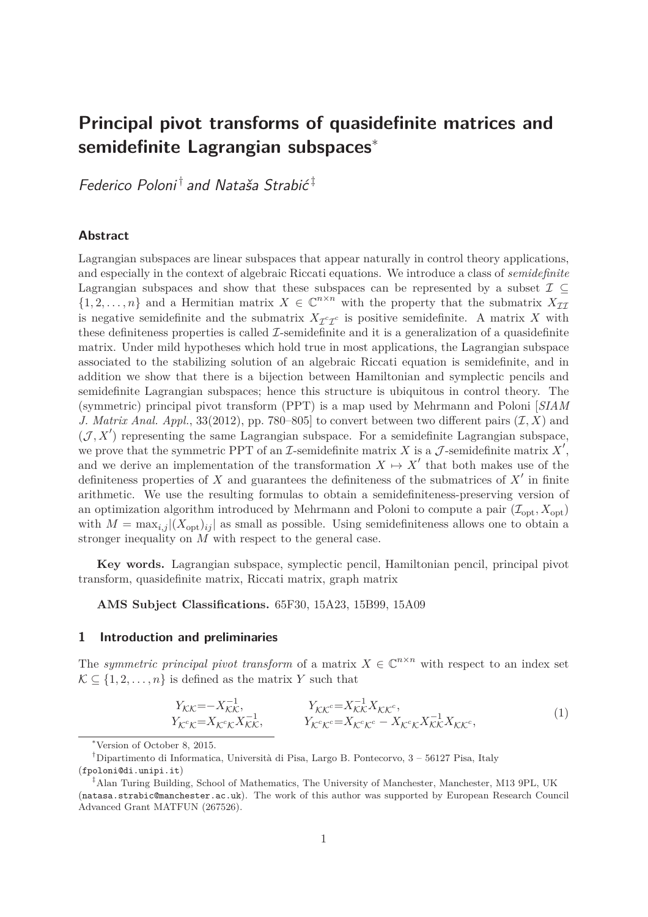# **Principal pivot transforms of quasidefinite matrices and semidefinite Lagrangian subspaces**<sup>∗</sup>

Federico Poloni $^{\dagger}$  and Nataša Strabić $^{\ddagger}$ 

# **Abstract**

Lagrangian subspaces are linear subspaces that appear naturally in control theory applications, and especially in the context of algebraic Riccati equations. We introduce a class of *semidefinite* Lagrangian subspaces and show that these subspaces can be represented by a subset  $\mathcal{I} \subseteq$  $\{1, 2, \ldots, n\}$  and a Hermitian matrix  $X \in \mathbb{C}^{n \times n}$  with the property that the submatrix  $X_{\mathcal{I}\mathcal{I}}$ is negative semidefinite and the submatrix  $X_{\mathcal{I}^c\mathcal{I}^c}$  is positive semidefinite. A matrix *X* with these definiteness properties is called  $\mathcal{I}$ -semidefinite and it is a generalization of a quasidefinite matrix. Under mild hypotheses which hold true in most applications, the Lagrangian subspace associated to the stabilizing solution of an algebraic Riccati equation is semidefinite, and in addition we show that there is a bijection between Hamiltonian and symplectic pencils and semidefinite Lagrangian subspaces; hence this structure is ubiquitous in control theory. The (symmetric) principal pivot transform (PPT) is a map used by Mehrmann and Poloni [*SIAM J. Matrix Anal. Appl.*, 33(2012), pp. 780–805 to convert between two different pairs  $(\mathcal{I}, X)$  and  $(\mathcal{J}, X')$  representing the same Lagrangian subspace. For a semidefinite Lagrangian subspace, we prove that the symmetric PPT of an  $\mathcal I$ -semidefinite matrix  $X$  is a  $\mathcal J$ -semidefinite matrix  $X'$ , and we derive an implementation of the transformation  $X \mapsto X'$  that both makes use of the definiteness properties of *X* and guarantees the definiteness of the submatrices of *X* ′ in finite arithmetic. We use the resulting formulas to obtain a semidefiniteness-preserving version of an optimization algorithm introduced by Mehrmann and Poloni to compute a pair  $(\mathcal{I}_{\text{opt}}, X_{\text{opt}})$ with  $M = \max_{i,j} |(X_{\text{opt}})_{ij}|$  as small as possible. Using semidefiniteness allows one to obtain a stronger inequality on *M* with respect to the general case.

**Key words.** Lagrangian subspace, symplectic pencil, Hamiltonian pencil, principal pivot transform, quasidefinite matrix, Riccati matrix, graph matrix

**AMS Subject Classifications.** 65F30, 15A23, 15B99, 15A09

#### **1 Introduction and preliminaries**

The *symmetric principal pivot transform* of a matrix  $X \in \mathbb{C}^{n \times n}$  with respect to an index set  $\mathcal{K} \subset \{1, 2, \ldots, n\}$  is defined as the matrix *Y* such that

$$
Y_{\mathcal{K}\mathcal{K}} = -X_{\mathcal{K}\mathcal{K}}^{-1}, \qquad Y_{\mathcal{K}\mathcal{K}}^{\mathcal{C}} = X_{\mathcal{K}\mathcal{K}}^{-1} X_{\mathcal{K}\mathcal{K}}^{\mathcal{C}},
$$
  
\n
$$
Y_{\mathcal{K}}^{\mathcal{C}} \mathcal{K} = X_{\mathcal{K}}^{\mathcal{C}} \mathcal{K}^{1}} X_{\mathcal{K}\mathcal{K}}^{\mathcal{C}}.
$$
  
\n
$$
Y_{\mathcal{K}}^{\mathcal{C}} \mathcal{K}^{\mathcal{C}} = X_{\mathcal{K}}^{\mathcal{C}} \mathcal{K}^{\mathcal{C}} - X_{\mathcal{K}}^{\mathcal{C}} \mathcal{K}^{1} X_{\mathcal{K}\mathcal{K}}^{\mathcal{C}},
$$
\n
$$
(1)
$$

<sup>∗</sup>Version of October 8, 2015.

<sup>&</sup>lt;sup>†</sup>Dipartimento di Informatica, Università di Pisa, Largo B. Pontecorvo, 3 – 56127 Pisa, Italy (fpoloni@di.unipi.it)

 $^{\ddagger}$ Alan Turing Building, School of Mathematics, The University of Manchester, Manchester, M13 9PL, UK (natasa.strabic@manchester.ac.uk). The work of this author was supported by European Research Council Advanced Grant MATFUN (267526).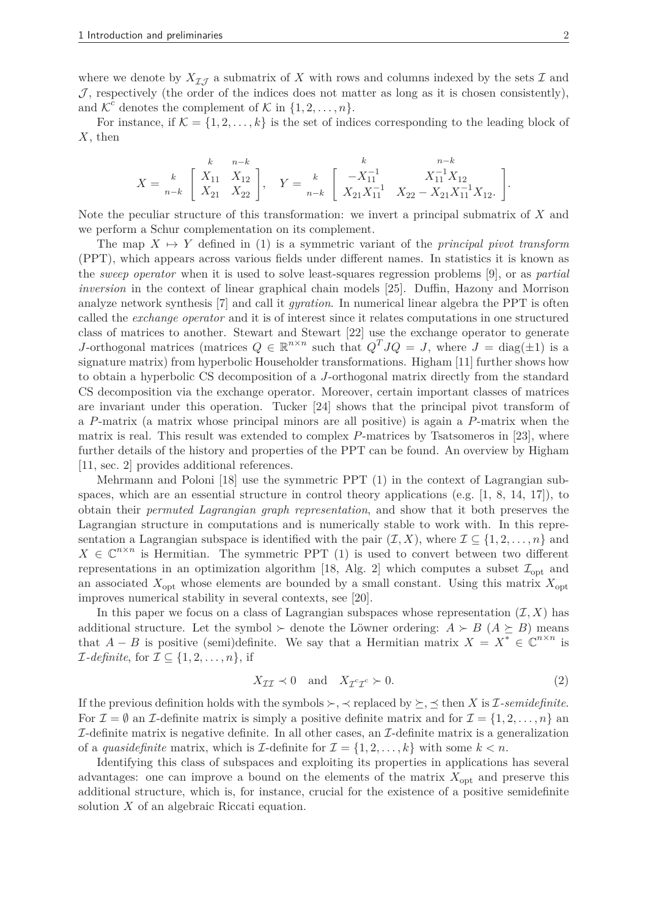where we denote by  $X_{\mathcal{I},\mathcal{I}}$  a submatrix of X with rows and columns indexed by the sets  $\mathcal{I}$  and  $J$ , respectively (the order of the indices does not matter as long as it is chosen consistently), and  $\mathcal{K}^c$  denotes the complement of  $\mathcal{K}$  in  $\{1, 2, \ldots, n\}$ .

For instance, if  $\mathcal{K} = \{1, 2, \ldots, k\}$  is the set of indices corresponding to the leading block of *X*, then

$$
X = \begin{bmatrix} k & n-k \\ X_{11} & X_{12} \\ X_{21} & X_{22} \end{bmatrix}, \quad Y = \begin{bmatrix} k & n-k \\ -X_{11}^{-1} & X_{11}^{-1}X_{12} \\ X_{21}X_{11}^{-1} & X_{22} - X_{21}X_{11}^{-1}X_{12} \end{bmatrix}.
$$

Note the peculiar structure of this transformation: we invert a principal submatrix of *X* and we perform a Schur complementation on its complement.

The map  $X \mapsto Y$  defined in (1) is a symmetric variant of the *principal pivot transform* (PPT), which appears across various fields under different names. In statistics it is known as the *sweep operator* when it is used to solve least-squares regression problems [9], or as *partial inversion* in the context of linear graphical chain models [25]. Duffin, Hazony and Morrison analyze network synthesis [7] and call it *gyration*. In numerical linear algebra the PPT is often called the *exchange operator* and it is of interest since it relates computations in one structured class of matrices to another. Stewart and Stewart [22] use the exchange operator to generate *J*-orthogonal matrices (matrices  $Q \in \mathbb{R}^{n \times n}$  such that  $Q^T J Q = J$ , where  $J = \text{diag}(\pm 1)$  is a signature matrix) from hyperbolic Householder transformations. Higham [11] further shows how to obtain a hyperbolic CS decomposition of a *J*-orthogonal matrix directly from the standard CS decomposition via the exchange operator. Moreover, certain important classes of matrices are invariant under this operation. Tucker [24] shows that the principal pivot transform of a *P*-matrix (a matrix whose principal minors are all positive) is again a *P*-matrix when the matrix is real. This result was extended to complex *P*-matrices by Tsatsomeros in [23], where further details of the history and properties of the PPT can be found. An overview by Higham [11, sec. 2] provides additional references.

Mehrmann and Poloni [18] use the symmetric PPT (1) in the context of Lagrangian subspaces, which are an essential structure in control theory applications (e.g.  $[1, 8, 14, 17]$ ), to obtain their *permuted Lagrangian graph representation*, and show that it both preserves the Lagrangian structure in computations and is numerically stable to work with. In this representation a Lagrangian subspace is identified with the pair  $(\mathcal{I}, X)$ , where  $\mathcal{I} \subseteq \{1, 2, \ldots, n\}$  and  $X \in \mathbb{C}^{n \times n}$  is Hermitian. The symmetric PPT (1) is used to convert between two different representations in an optimization algorithm [18, Alg. 2] which computes a subset  $\mathcal{I}_{opt}$  and an associated  $X_{\text{opt}}$  whose elements are bounded by a small constant. Using this matrix  $X_{\text{opt}}$ improves numerical stability in several contexts, see [20].

In this paper we focus on a class of Lagrangian subspaces whose representation  $(\mathcal{I}, X)$  has additional structure. Let the symbol ≻ denote the Löwner ordering:  $A \succ B$  ( $A \succeq B$ ) means that *A* − *B* is positive (semi)definite. We say that a Hermitian matrix  $X = X^* \in \mathbb{C}^{n \times n}$  is  $\mathcal{I}\text{-}definite, \text{ for } \mathcal{I} \subseteq \{1, 2, \ldots, n\}, \text{ if }$ 

$$
X_{\mathcal{II}} \prec 0 \quad \text{and} \quad X_{\mathcal{I}^c \mathcal{I}^c} \succ 0. \tag{2}
$$

If the previous definition holds with the symbols  $\succ$ ,  $\prec$  replaced by  $\succeq$ ,  $\preceq$  then *X* is *I*-semidefinite. For  $\mathcal{I} = \emptyset$  an *I*-definite matrix is simply a positive definite matrix and for  $\mathcal{I} = \{1, 2, \ldots, n\}$  and  $I$ -definite matrix is negative definite. In all other cases, an  $I$ -definite matrix is a generalization of a *quasidefinite* matrix, which is *I*-definite for  $\mathcal{I} = \{1, 2, \ldots, k\}$  with some  $k < n$ .

Identifying this class of subspaces and exploiting its properties in applications has several advantages: one can improve a bound on the elements of the matrix  $X_{\text{opt}}$  and preserve this additional structure, which is, for instance, crucial for the existence of a positive semidefinite solution *X* of an algebraic Riccati equation.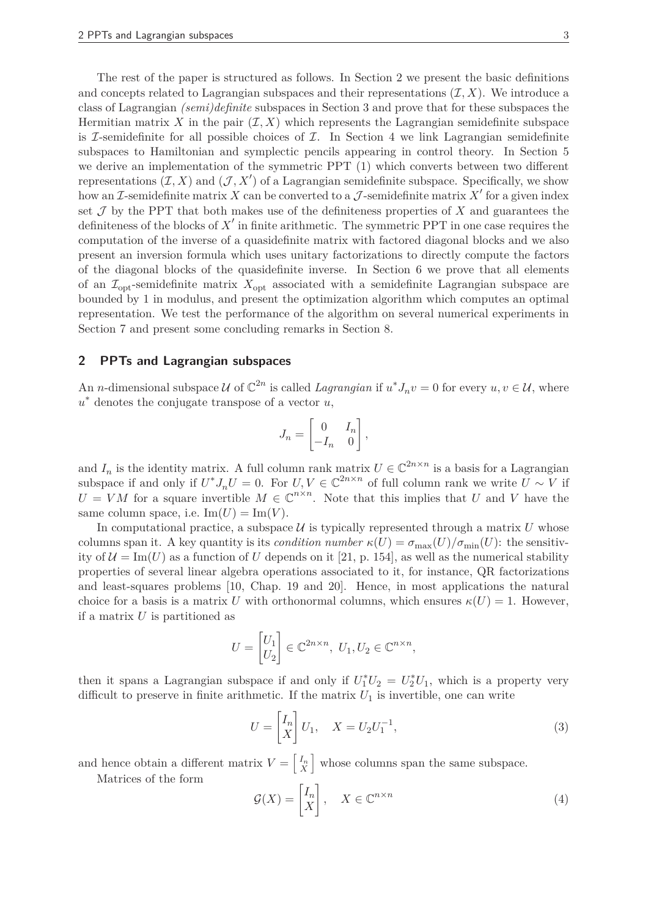The rest of the paper is structured as follows. In Section 2 we present the basic definitions and concepts related to Lagrangian subspaces and their representations  $(\mathcal{I}, X)$ . We introduce a class of Lagrangian *(semi)definite* subspaces in Section 3 and prove that for these subspaces the Hermitian matrix X in the pair  $(\mathcal{I}, X)$  which represents the Lagrangian semidefinite subspace is  $\mathcal I$ -semidefinite for all possible choices of  $\mathcal I$ . In Section 4 we link Lagrangian semidefinite subspaces to Hamiltonian and symplectic pencils appearing in control theory. In Section 5 we derive an implementation of the symmetric PPT (1) which converts between two different representations  $(\mathcal{I}, X)$  and  $(\mathcal{J}, X')$  of a Lagrangian semidefinite subspace. Specifically, we show how an  $\mathcal I$ -semidefinite matrix  $X$  can be converted to a  $\mathcal J$ -semidefinite matrix  $X'$  for a given index set  $\mathcal J$  by the PPT that both makes use of the definiteness properties of  $X$  and guarantees the definiteness of the blocks of X' in finite arithmetic. The symmetric PPT in one case requires the computation of the inverse of a quasidefinite matrix with factored diagonal blocks and we also present an inversion formula which uses unitary factorizations to directly compute the factors of the diagonal blocks of the quasidefinite inverse. In Section 6 we prove that all elements of an  $\mathcal{I}_{\text{opt}}$ -semidefinite matrix  $X_{\text{opt}}$  associated with a semidefinite Lagrangian subspace are bounded by 1 in modulus, and present the optimization algorithm which computes an optimal representation. We test the performance of the algorithm on several numerical experiments in Section 7 and present some concluding remarks in Section 8.

#### **2 PPTs and Lagrangian subspaces**

An *n*-dimensional subspace U of  $\mathbb{C}^{2n}$  is called *Lagrangian* if  $u^*J_nv = 0$  for every  $u, v \in \mathcal{U}$ , where *u* ∗ denotes the conjugate transpose of a vector *u*,

$$
J_n = \begin{bmatrix} 0 & I_n \\ -I_n & 0 \end{bmatrix},
$$

and  $I_n$  is the identity matrix. A full column rank matrix  $U \in \mathbb{C}^{2n \times n}$  is a basis for a Lagrangian subspace if and only if  $U^* J_n U = 0$ . For  $U, V \in \mathbb{C}^{2n \times n}$  of full column rank we write  $U \sim V$  if  $U = VM$  for a square invertible  $M \in \mathbb{C}^{n \times n}$ . Note that this implies that *U* and *V* have the same column space, i.e.  $\text{Im}(U) = \text{Im}(V)$ .

In computational practice, a subspace  $\mathcal U$  is typically represented through a matrix  $U$  whose columns span it. A key quantity is its *condition number*  $\kappa(U) = \sigma_{\max}(U)/\sigma_{\min}(U)$ : the sensitivity of  $\mathcal{U} = \text{Im}(U)$  as a function of *U* depends on it [21, p. 154], as well as the numerical stability properties of several linear algebra operations associated to it, for instance, QR factorizations and least-squares problems [10, Chap. 19 and 20]. Hence, in most applications the natural choice for a basis is a matrix *U* with orthonormal columns, which ensures  $\kappa(U) = 1$ . However, if a matrix *U* is partitioned as

$$
U = \begin{bmatrix} U_1 \\ U_2 \end{bmatrix} \in \mathbb{C}^{2n \times n}, \ U_1, U_2 \in \mathbb{C}^{n \times n},
$$

then it spans a Lagrangian subspace if and only if  $U_1^*U_2 = U_2^*U_1$ , which is a property very difficult to preserve in finite arithmetic. If the matrix  $U_1$  is invertible, one can write

$$
U = \begin{bmatrix} I_n \\ X \end{bmatrix} U_1, \quad X = U_2 U_1^{-1}, \tag{3}
$$

and hence obtain a different matrix  $V = \begin{bmatrix} I_n \\ Y \end{bmatrix}$ *X* whose columns span the same subspace.

Matrices of the form

$$
\mathcal{G}(X) = \begin{bmatrix} I_n \\ X \end{bmatrix}, \quad X \in \mathbb{C}^{n \times n}
$$
 (4)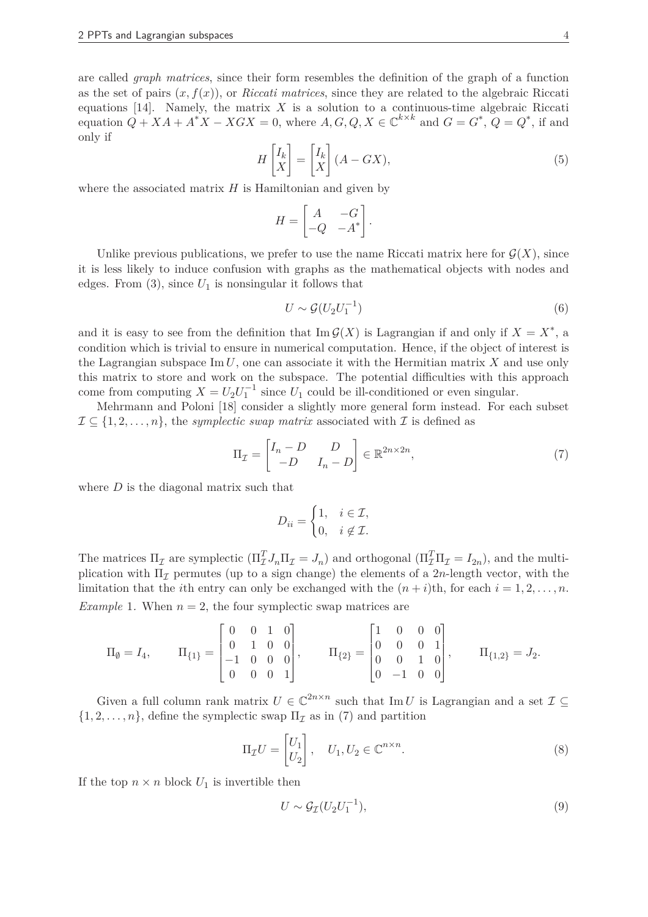are called *graph matrices*, since their form resembles the definition of the graph of a function as the set of pairs  $(x, f(x))$ , or *Riccati matrices*, since they are related to the algebraic Riccati equations  $[14]$ . Namely, the matrix X is a solution to a continuous-time algebraic Riccati equation  $Q + XA + A^*X - XGX = 0$ , where  $A, G, Q, X \in \mathbb{C}^{k \times k}$  and  $G = G^*$ ,  $Q = Q^*$ , if and only if

$$
H\begin{bmatrix}I_k\\X\end{bmatrix} = \begin{bmatrix}I_k\\X\end{bmatrix} (A - GX),\tag{5}
$$

where the associated matrix *H* is Hamiltonian and given by

$$
H = \begin{bmatrix} A & -G \\ -Q & -A^* \end{bmatrix}.
$$

Unlike previous publications, we prefer to use the name Riccati matrix here for  $\mathcal{G}(X)$ , since it is less likely to induce confusion with graphs as the mathematical objects with nodes and edges. From  $(3)$ , since  $U_1$  is nonsingular it follows that

$$
U \sim \mathcal{G}(U_2 U_1^{-1})
$$
\n<sup>(6)</sup>

and it is easy to see from the definition that  $\text{Im } \mathcal{G}(X)$  is Lagrangian if and only if  $X = X^*$ , a condition which is trivial to ensure in numerical computation. Hence, if the object of interest is the Lagrangian subspace Im *U*, one can associate it with the Hermitian matrix *X* and use only this matrix to store and work on the subspace. The potential difficulties with this approach come from computing  $X = U_2 U_1^{-1}$  since  $U_1$  could be ill-conditioned or even singular.

Mehrmann and Poloni [18] consider a slightly more general form instead. For each subset  $\mathcal{I} \subseteq \{1, 2, \ldots, n\}$ , the *symplectic swap matrix* associated with  $\mathcal{I}$  is defined as

$$
\Pi_{\mathcal{I}} = \begin{bmatrix} I_n - D & D \\ -D & I_n - D \end{bmatrix} \in \mathbb{R}^{2n \times 2n},\tag{7}
$$

where *D* is the diagonal matrix such that

$$
D_{ii} = \begin{cases} 1, & i \in \mathcal{I}, \\ 0, & i \notin \mathcal{I}. \end{cases}
$$

The matrices  $\Pi_{\mathcal{I}}$  are symplectic  $(\Pi_{\mathcal{I}}^T J_n \Pi_{\mathcal{I}} = J_n)$  and orthogonal  $(\Pi_{\mathcal{I}}^T \Pi_{\mathcal{I}} = I_{2n})$ , and the multiplication with  $\Pi_{\mathcal{I}}$  permutes (up to a sign change) the elements of a 2*n*-length vector, with the limitation that the *i*th entry can only be exchanged with the  $(n+i)$ th, for each  $i = 1, 2, \ldots, n$ .

*Example* 1. When  $n = 2$ , the four symplectic swap matrices are

$$
\Pi_{\emptyset} = I_4, \qquad \Pi_{\{1\}} = \begin{bmatrix} 0 & 0 & 1 & 0 \\ 0 & 1 & 0 & 0 \\ -1 & 0 & 0 & 0 \\ 0 & 0 & 0 & 1 \end{bmatrix}, \qquad \Pi_{\{2\}} = \begin{bmatrix} 1 & 0 & 0 & 0 \\ 0 & 0 & 0 & 1 \\ 0 & 0 & 1 & 0 \\ 0 & -1 & 0 & 0 \end{bmatrix}, \qquad \Pi_{\{1,2\}} = J_2.
$$

Given a full column rank matrix  $U \in \mathbb{C}^{2n \times n}$  such that Im *U* is Lagrangian and a set  $\mathcal{I} \subseteq$  $\{1, 2, \ldots, n\}$ , define the symplectic swap  $\Pi_{\mathcal{I}}$  as in (7) and partition

$$
\Pi_{\mathcal{I}}U = \begin{bmatrix} U_1 \\ U_2 \end{bmatrix}, \quad U_1, U_2 \in \mathbb{C}^{n \times n}.
$$
 (8)

If the top  $n \times n$  block  $U_1$  is invertible then

$$
U \sim \mathcal{G}_{\mathcal{I}}(U_2 U_1^{-1}),\tag{9}
$$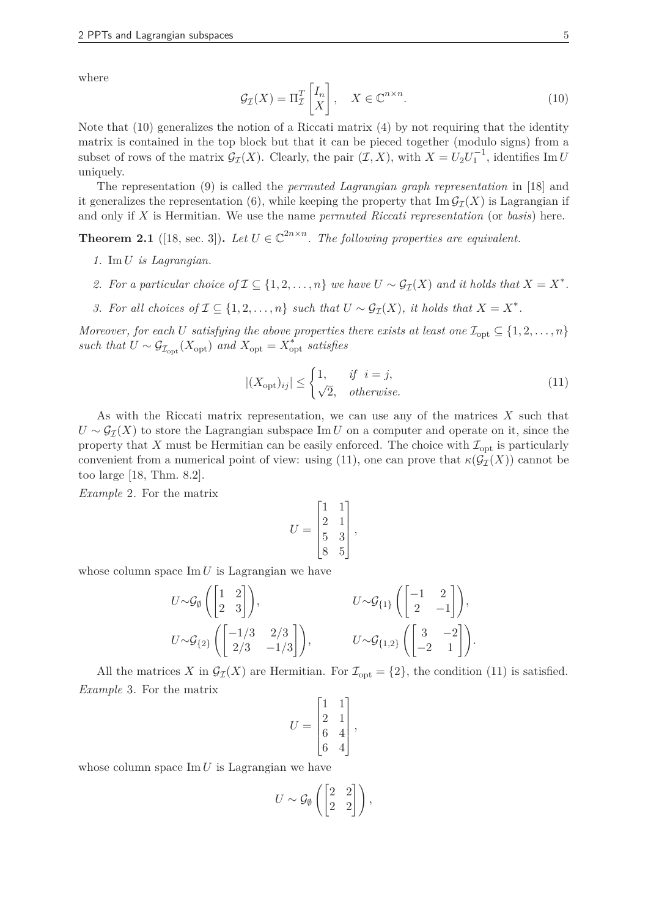where

$$
\mathcal{G}_{\mathcal{I}}(X) = \Pi_{\mathcal{I}}^{T} \begin{bmatrix} I_{n} \\ X \end{bmatrix}, \quad X \in \mathbb{C}^{n \times n}.
$$
 (10)

Note that  $(10)$  generalizes the notion of a Riccati matrix  $(4)$  by not requiring that the identity matrix is contained in the top block but that it can be pieced together (modulo signs) from a subset of rows of the matrix  $G_{\mathcal{I}}(X)$ . Clearly, the pair  $(\mathcal{I}, X)$ , with  $X = U_2 U_1^{-1}$ , identifies Im *U* uniquely.

The representation (9) is called the *permuted Lagrangian graph representation* in [18] and it generalizes the representation (6), while keeping the property that  $\text{Im } \mathcal{G}_{\mathcal{I}}(X)$  is Lagrangian if and only if *X* is Hermitian. We use the name *permuted Riccati representation* (or *basis*) here.

**Theorem 2.1** ([18, sec. 3]). Let  $U \in \mathbb{C}^{2n \times n}$ . The following properties are equivalent.

- *1.* Im *U is Lagrangian.*
- *2. For a particular choice of*  $\mathcal{I} \subseteq \{1, 2, ..., n\}$  *we have*  $U \sim \mathcal{G}_{\mathcal{I}}(X)$  *and it holds that*  $X = X^*$ *.*
- *3. For all choices of*  $\mathcal{I} \subseteq \{1, 2, \ldots, n\}$  *such that*  $U \sim \mathcal{G}_{\mathcal{I}}(X)$ *, it holds that*  $X = X^*$ *.*

*Moreover, for each U satisfying the above properties there exists at least one*  $\mathcal{I}_{\text{opt}} \subseteq \{1, 2, ..., n\}$  $such that U \sim \mathcal{G}_{\mathcal{I}_{\text{opt}}}(X_{\text{opt}})$  and  $X_{\text{opt}} = X_{\text{opt}}^*$  satisfies

$$
|(X_{\text{opt}})_{ij}| \le \begin{cases} 1, & \text{if } i = j, \\ \sqrt{2}, & \text{otherwise.} \end{cases}
$$
 (11)

As with the Riccati matrix representation, we can use any of the matrices *X* such that  $U \sim \mathcal{G}_{I}(X)$  to store the Lagrangian subspace Im *U* on a computer and operate on it, since the property that *X* must be Hermitian can be easily enforced. The choice with  $\mathcal{I}_{\text{opt}}$  is particularly convenient from a numerical point of view: using (11), one can prove that  $\kappa(\mathcal{G}_{\mathcal{I}}(X))$  cannot be too large [18, Thm. 8.2].

*Example* 2*.* For the matrix

$$
U = \begin{bmatrix} 1 & 1 \\ 2 & 1 \\ 5 & 3 \\ 8 & 5 \end{bmatrix},
$$

whose column space Im *U* is Lagrangian we have

$$
U \sim \mathcal{G}_{\emptyset} \left( \begin{bmatrix} 1 & 2 \\ 2 & 3 \end{bmatrix} \right), \qquad U \sim \mathcal{G}_{\{1\}} \left( \begin{bmatrix} -1 & 2 \\ 2 & -1 \end{bmatrix} \right),
$$
  
\n
$$
U \sim \mathcal{G}_{\{2\}} \left( \begin{bmatrix} -1/3 & 2/3 \\ 2/3 & -1/3 \end{bmatrix} \right), \qquad U \sim \mathcal{G}_{\{1,2\}} \left( \begin{bmatrix} 3 & -2 \\ -2 & 1 \end{bmatrix} \right).
$$

All the matrices *X* in  $\mathcal{G}_{\mathcal{I}}(X)$  are Hermitian. For  $\mathcal{I}_{\text{opt}} = \{2\}$ , the condition (11) is satisfied. *Example* 3*.* For the matrix

$$
U = \begin{bmatrix} 1 & 1 \\ 2 & 1 \\ 6 & 4 \\ 6 & 4 \end{bmatrix},
$$

whose column space Im *U* is Lagrangian we have

$$
U \sim \mathcal{G}_{\emptyset} \left( \begin{bmatrix} 2 & 2 \\ 2 & 2 \end{bmatrix} \right),
$$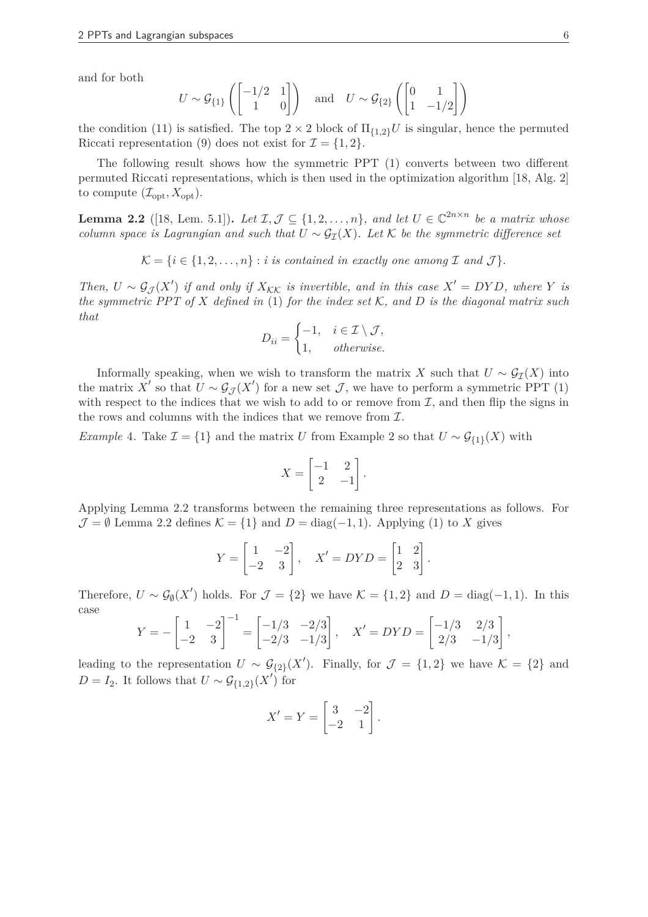and for both

$$
U \sim \mathcal{G}_{\{1\}}\left(\begin{bmatrix} -1/2 & 1 \\ 1 & 0 \end{bmatrix}\right) \quad \text{and} \quad U \sim \mathcal{G}_{\{2\}}\left(\begin{bmatrix} 0 & 1 \\ 1 & -1/2 \end{bmatrix}\right)
$$

the condition (11) is satisfied. The top  $2 \times 2$  block of  $\Pi_{\{1,2\}}U$  is singular, hence the permuted Riccati representation (9) does not exist for  $\mathcal{I} = \{1, 2\}.$ 

The following result shows how the symmetric PPT (1) converts between two different permuted Riccati representations, which is then used in the optimization algorithm [18, Alg. 2] to compute  $(\mathcal{I}_{opt}, X_{opt})$ .

**Lemma 2.2** ([18, Lem. 5.1]). Let  $\mathcal{I}, \mathcal{J} \subseteq \{1, 2, \ldots, n\}$ , and let  $U \in \mathbb{C}^{2n \times n}$  be a matrix whose *column space is Lagrangian and such that*  $U \sim \mathcal{G}_{\tau}(X)$ *. Let* K *be the symmetric difference set* 

 $\mathcal{K} = \{i \in \{1, 2, \ldots, n\} : i \text{ is contained in exactly one among } \mathcal{I} \text{ and } \mathcal{J}\}.$ 

*Then,*  $U \sim \mathcal{G}_{\mathcal{J}}(X')$  *if and only if*  $X_{\mathcal{KK}}$  *is invertible, and in this case*  $X' = DYD$ *, where Y is the symmetric PPT of X defined in* (1) *for the index set* K*, and D is the diagonal matrix such that*

$$
D_{ii} = \begin{cases} -1, & i \in \mathcal{I} \setminus \mathcal{J}, \\ 1, & otherwise. \end{cases}
$$

Informally speaking, when we wish to transform the matrix *X* such that  $U \sim \mathcal{G}_{\tau}(X)$  into the matrix *X'* so that  $U \sim \mathcal{G}_{\mathcal{J}}(X')$  for a new set  $\mathcal{J}$ , we have to perform a symmetric PPT (1) with respect to the indices that we wish to add to or remove from  $I$ , and then flip the signs in the rows and columns with the indices that we remove from  $\mathcal{I}$ .

*Example* 4. Take  $\mathcal{I} = \{1\}$  and the matrix *U* from Example 2 so that  $U \sim \mathcal{G}_{\{1\}}(X)$  with

$$
X = \begin{bmatrix} -1 & 2 \\ 2 & -1 \end{bmatrix}.
$$

Applying Lemma 2.2 transforms between the remaining three representations as follows. For  $\mathcal{J} = \emptyset$  Lemma 2.2 defines  $\mathcal{K} = \{1\}$  and  $D = \text{diag}(-1, 1)$ . Applying (1) to *X* gives

$$
Y = \begin{bmatrix} 1 & -2 \\ -2 & 3 \end{bmatrix}, \quad X' = DYD = \begin{bmatrix} 1 & 2 \\ 2 & 3 \end{bmatrix}.
$$

Therefore,  $U \sim \mathcal{G}_{\emptyset}(X')$  holds. For  $\mathcal{J} = \{2\}$  we have  $\mathcal{K} = \{1, 2\}$  and  $D = \text{diag}(-1, 1)$ . In this case

$$
Y = -\begin{bmatrix} 1 & -2 \\ -2 & 3 \end{bmatrix}^{-1} = \begin{bmatrix} -1/3 & -2/3 \\ -2/3 & -1/3 \end{bmatrix}, \quad X' = DYD = \begin{bmatrix} -1/3 & 2/3 \\ 2/3 & -1/3 \end{bmatrix},
$$

leading to the representation  $U \sim \mathcal{G}_{\{2\}}(X')$ . Finally, for  $\mathcal{J} = \{1,2\}$  we have  $\mathcal{K} = \{2\}$  and  $D = I_2$ . It follows that  $U \sim \mathcal{G}_{\{1,2\}}(X')$  for

$$
X' = Y = \begin{bmatrix} 3 & -2 \\ -2 & 1 \end{bmatrix}.
$$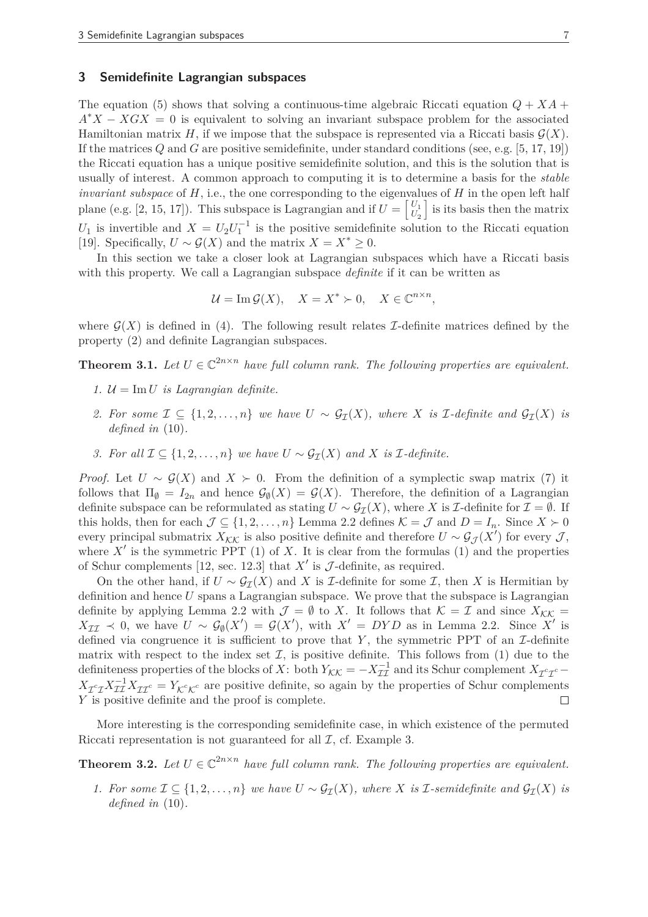# **3 Semidefinite Lagrangian subspaces**

The equation (5) shows that solving a continuous-time algebraic Riccati equation  $Q + XA$  +  $A^*X - XGX = 0$  is equivalent to solving an invariant subspace problem for the associated Hamiltonian matrix *H*, if we impose that the subspace is represented via a Riccati basis  $\mathcal{G}(X)$ . If the matrices *Q* and *G* are positive semidefinite, under standard conditions (see, e.g. [5, 17, 19]) the Riccati equation has a unique positive semidefinite solution, and this is the solution that is usually of interest. A common approach to computing it is to determine a basis for the *stable invariant subspace* of *H*, i.e., the one corresponding to the eigenvalues of *H* in the open left half plane (e.g. [2, 15, 17]). This subspace is Lagrangian and if  $U = \begin{bmatrix} U_1 \\ U_2 \end{bmatrix}$  $U_2$ I is its basis then the matrix  $U_1$  is invertible and  $X = U_2 U_1^{-1}$  is the positive semidefinite solution to the Riccati equation [19]. Specifically,  $U \sim \mathcal{G}(X)$  and the matrix  $X = X^* \geq 0$ .

In this section we take a closer look at Lagrangian subspaces which have a Riccati basis with this property. We call a Lagrangian subspace *definite* if it can be written as

$$
\mathcal{U} = \operatorname{Im} \mathcal{G}(X), \quad X = X^* \succ 0, \quad X \in \mathbb{C}^{n \times n},
$$

where  $\mathcal{G}(X)$  is defined in (4). The following result relates I-definite matrices defined by the property (2) and definite Lagrangian subspaces.

**Theorem 3.1.** Let  $U \in \mathbb{C}^{2n \times n}$  have full column rank. The following properties are equivalent.

- *1.*  $\mathcal{U} = \text{Im } U$  *is Lagrangian definite.*
- *2. For some*  $\mathcal{I} \subseteq \{1, 2, ..., n\}$  *we have*  $U \sim \mathcal{G}_{\mathcal{I}}(X)$ *, where X is*  $\mathcal{I}$ -definite and  $\mathcal{G}_{\mathcal{I}}(X)$  *is defined in* (10)*.*
- *3. For all*  $\mathcal{I} \subseteq \{1, 2, ..., n\}$  *we have*  $U \sim \mathcal{G}_{\mathcal{T}}(X)$  *and*  $X$  *is*  $\mathcal{I}$ *-definite.*

*Proof.* Let  $U \sim \mathcal{G}(X)$  and  $X \succ 0$ . From the definition of a symplectic swap matrix (7) it follows that  $\Pi_{\emptyset} = I_{2n}$  and hence  $\mathcal{G}_{\emptyset}(X) = \mathcal{G}(X)$ . Therefore, the definition of a Lagrangian definite subspace can be reformulated as stating  $U \sim \mathcal{G}_{\mathcal{I}}(X)$ , where *X* is *I*-definite for  $\mathcal{I} = \emptyset$ . If this holds, then for each  $\mathcal{J} \subseteq \{1, 2, ..., n\}$  Lemma 2.2 defines  $\mathcal{K} = \mathcal{J}$  and  $D = I_n$ . Since  $X \succ 0$ every principal submatrix  $X_{\mathcal{K}\mathcal{K}}$  is also positive definite and therefore  $U \sim \mathcal{G}_{\mathcal{J}}(X')$  for every  $\mathcal{J},$ where  $X'$  is the symmetric PPT  $(1)$  of  $X$ . It is clear from the formulas  $(1)$  and the properties of Schur complements [12, sec. 12.3] that  $X'$  is  $\mathcal{J}\text{-definite}$ , as required.

On the other hand, if  $U \sim \mathcal{G}_{\mathcal{I}}(X)$  and X is *I*-definite for some *I*, then X is Hermitian by definition and hence *U* spans a Lagrangian subspace. We prove that the subspace is Lagrangian definite by applying Lemma 2.2 with  $\mathcal{J} = \emptyset$  to X. It follows that  $\mathcal{K} = \mathcal{I}$  and since  $X_{\mathcal{KK}} =$  $X_{\mathcal{II}} \prec 0$ , we have  $U \sim \mathcal{G}_{\emptyset}(X') = \mathcal{G}(X')$ , with  $X' = DYD$  as in Lemma 2.2. Since X' is defined via congruence it is sufficient to prove that  $Y$ , the symmetric PPT of an  $\mathcal{I}\text{-definite}$ matrix with respect to the index set  $\mathcal{I}$ , is positive definite. This follows from (1) due to the definiteness properties of the blocks of *X*: both  $Y_{\mathcal{KK}} = -X_{\mathcal{II}}^{-1}$  and its Schur complement  $X_{\mathcal{I}^c\mathcal{I}^c}$  $X_{\mathcal{I}^c\mathcal{I}} X_{\mathcal{I}\mathcal{I}}^{-1} X_{\mathcal{I}\mathcal{I}^c} = Y_{\mathcal{K}^c \mathcal{K}^c}$  are positive definite, so again by the properties of Schur complements  $Y$  is positive definite and the proof is complete.  $\Box$ 

More interesting is the corresponding semidefinite case, in which existence of the permuted Riccati representation is not guaranteed for all  $\mathcal{I}$ , cf. Example 3.

**Theorem 3.2.** Let  $U \in \mathbb{C}^{2n \times n}$  have full column rank. The following properties are equivalent.

*1. For some*  $\mathcal{I} \subseteq \{1, 2, ..., n\}$  *we have*  $U \sim \mathcal{G}_{\mathcal{I}}(X)$ *, where X is I*-semidefinite and  $\mathcal{G}_{\mathcal{I}}(X)$  *is defined in* (10)*.*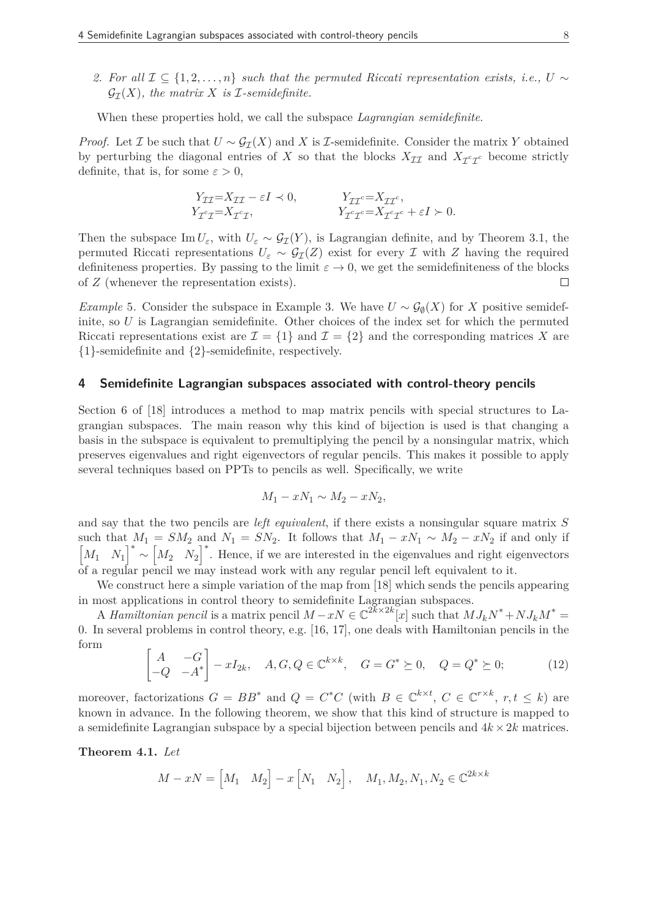*2. For all*  $\mathcal{I} \subset \{1, 2, ..., n\}$  *such that the permuted Riccati representation exists, i.e., U ∼*  $\mathcal{G}_{\tau}(X)$ , the matrix X is *I*-semidefinite.

When these properties hold, we call the subspace *Lagrangian semidefinite*.

*Proof.* Let *I* be such that  $U \sim \mathcal{G}_{\mathcal{I}}(X)$  and *X* is *I*-semidefinite. Consider the matrix *Y* obtained by perturbing the diagonal entries of *X* so that the blocks  $X_{\mathcal{II}}$  and  $X_{\mathcal{I}^c\mathcal{I}^c}$  become strictly definite, that is, for some  $\varepsilon > 0$ ,

$$
Y_{\mathcal{I}\mathcal{I}} = X_{\mathcal{I}\mathcal{I}} - \varepsilon I \prec 0, \qquad Y_{\mathcal{I}\mathcal{I}^c} = X_{\mathcal{I}\mathcal{I}^c},
$$
  
\n
$$
Y_{\mathcal{I}^c\mathcal{I}} = X_{\mathcal{I}^c\mathcal{I}}, \qquad Y_{\mathcal{I}^c\mathcal{I}^c} = X_{\mathcal{I}^c\mathcal{I}^c} + \varepsilon I \succ 0.
$$

Then the subspace  $\text{Im } U_{\varepsilon}$ , with  $U_{\varepsilon} \sim \mathcal{G}_{\mathcal{I}}(Y)$ , is Lagrangian definite, and by Theorem 3.1, the permuted Riccati representations  $U_{\varepsilon} \sim \mathcal{G}_{\mathcal{I}}(Z)$  exist for every *I* with *Z* having the required definiteness properties. By passing to the limit  $\varepsilon \to 0$ , we get the semidefiniteness of the blocks of Z (whenever the representation exists). of *Z* (whenever the representation exists).

*Example* 5. Consider the subspace in Example 3. We have  $U \sim \mathcal{G}_{\emptyset}(X)$  for *X* positive semidefinite, so *U* is Lagrangian semidefinite. Other choices of the index set for which the permuted Riccati representations exist are  $\mathcal{I} = \{1\}$  and  $\mathcal{I} = \{2\}$  and the corresponding matrices X are {1}-semidefinite and {2}-semidefinite, respectively.

#### **4 Semidefinite Lagrangian subspaces associated with control-theory pencils**

Section 6 of [18] introduces a method to map matrix pencils with special structures to Lagrangian subspaces. The main reason why this kind of bijection is used is that changing a basis in the subspace is equivalent to premultiplying the pencil by a nonsingular matrix, which preserves eigenvalues and right eigenvectors of regular pencils. This makes it possible to apply several techniques based on PPTs to pencils as well. Specifically, we write

$$
M_1 - xN_1 \sim M_2 - xN_2,
$$

and say that the two pencils are *left equivalent*, if there exists a nonsingular square matrix *S* such that  $M_1 = SM_2$  and  $N_1 = SN_2$ . It follows that  $M_1 - xN_1 \sim M_2 - xN_2$  if and only if  $\begin{bmatrix} M_1 & N_1 \end{bmatrix}^*$ ∼  $\begin{bmatrix} M_2 & N_2 \end{bmatrix}^*$ . Hence, if we are interested in the eigenvalues and right eigenvectors of a regular pencil we may instead work with any regular pencil left equivalent to it.

We construct here a simple variation of the map from [18] which sends the pencils appearing in most applications in control theory to semidefinite Lagrangian subspaces.

A *Hamiltonian pencil* is a matrix pencil  $M - xN \in \mathbb{C}^{2k \times 2k}[x]$  such that  $MJ_kN^* + NJ_kM^* =$ 0. In several problems in control theory, e.g. [16, 17], one deals with Hamiltonian pencils in the form

$$
\begin{bmatrix} A & -G \ -Q & -A^* \end{bmatrix} - xI_{2k}, \quad A, G, Q \in \mathbb{C}^{k \times k}, \quad G = G^* \succeq 0, \quad Q = Q^* \succeq 0; \tag{12}
$$

moreover, factorizations  $G = BB^*$  and  $Q = C^*C$  (with  $B \in \mathbb{C}^{k \times t}$ ,  $C \in \mathbb{C}^{r \times k}$ ,  $r, t \leq k$ ) are known in advance. In the following theorem, we show that this kind of structure is mapped to a semidefinite Lagrangian subspace by a special bijection between pencils and  $4k \times 2k$  matrices.

**Theorem 4.1.** *Let*

$$
M-xN=\begin{bmatrix}M_1&M_2\end{bmatrix}-x\begin{bmatrix}N_1&N_2\end{bmatrix},\quad M_1,M_2,N_1,N_2\in\mathbb{C}^{2k\times k}
$$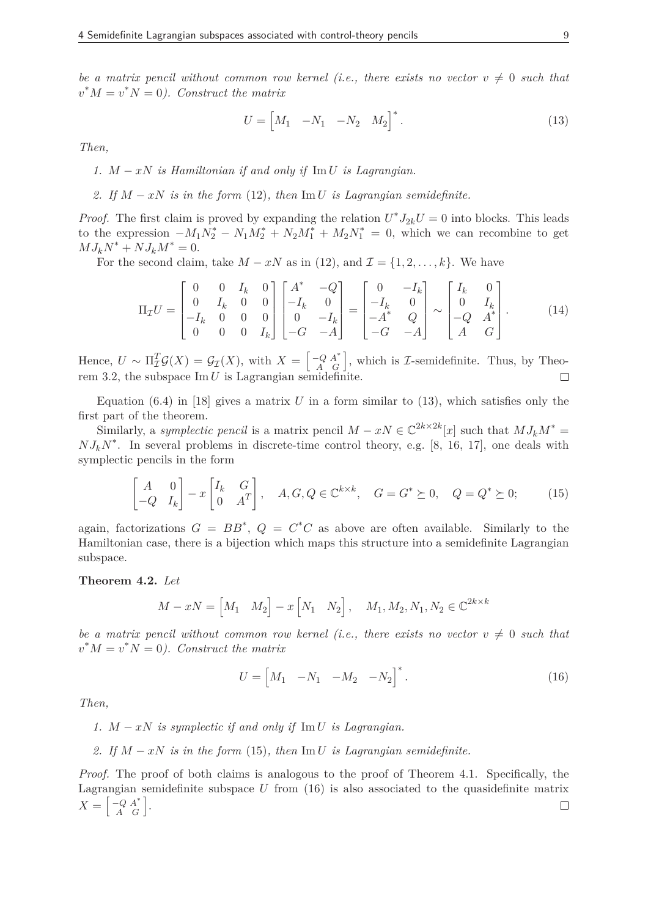*be a matrix pencil without common row kernel (i.e., there exists no vector*  $v \neq 0$  *such that*  $v^*M = v^*N = 0$ ). Construct the matrix

$$
U = \begin{bmatrix} M_1 & -N_1 & -N_2 & M_2 \end{bmatrix}^*.
$$
 (13)

*Then,*

*1. M* − *xN is Hamiltonian if and only if* Im *U is Lagrangian.*

2. If 
$$
M - xN
$$
 is in the form (12), then  $\text{Im } U$  is Lagrangian semidefinite.

*Proof.* The first claim is proved by expanding the relation  $U^*J_{2k}U = 0$  into blocks. This leads to the expression  $-M_1 N_2^* - N_1 M_2^* + N_2 M_1^* + M_2 N_1^* = 0$ , which we can recombine to get  $MJ_kN^* + NJ_kM^* = 0.$ 

For the second claim, take  $M - xN$  as in (12), and  $\mathcal{I} = \{1, 2, \ldots, k\}$ . We have

$$
\Pi_{\mathcal{I}}U = \begin{bmatrix} 0 & 0 & I_k & 0 \\ 0 & I_k & 0 & 0 \\ -I_k & 0 & 0 & 0 \\ 0 & 0 & 0 & I_k \end{bmatrix} \begin{bmatrix} A^* & -Q \\ -I_k & 0 \\ 0 & -I_k \\ -G & -A \end{bmatrix} = \begin{bmatrix} 0 & -I_k \\ -I_k & 0 \\ -A^* & Q \\ -G & -A \end{bmatrix} \sim \begin{bmatrix} I_k & 0 \\ 0 & I_k \\ -Q & A^* \\ A & G \end{bmatrix} .
$$
 (14)

Hence,  $U \sim \Pi_{\mathcal{I}}^T \mathcal{G}(X) = \mathcal{G}_{\mathcal{I}}(X)$ , with  $X = \begin{bmatrix} -Q & A^* \\ A & G \end{bmatrix}$ , which is *I*-semidefinite. Thus, by Theorem 3.2, the subspace  $\text{Im } U$  is Lagrangian semidefinite.

Equation  $(6.4)$  in [18] gives a matrix *U* in a form similar to  $(13)$ , which satisfies only the first part of the theorem.

Similarly, a *symplectic pencil* is a matrix pencil  $M - xN \in \mathbb{C}^{2k \times 2k}[x]$  such that  $MJ_kM^* =$  $NJ_kN^*$ . In several problems in discrete-time control theory, e.g. [8, 16, 17], one deals with symplectic pencils in the form

$$
\begin{bmatrix} A & 0 \ -Q & I_k \end{bmatrix} - x \begin{bmatrix} I_k & G \ 0 & A^T \end{bmatrix}, \quad A, G, Q \in \mathbb{C}^{k \times k}, \quad G = G^* \succeq 0, \quad Q = Q^* \succeq 0; \tag{15}
$$

again, factorizations  $G = BB^*$ ,  $Q = C^*C$  as above are often available. Similarly to the Hamiltonian case, there is a bijection which maps this structure into a semidefinite Lagrangian subspace.

**Theorem 4.2.** *Let*

$$
M - xN = \begin{bmatrix} M_1 & M_2 \end{bmatrix} - x \begin{bmatrix} N_1 & N_2 \end{bmatrix}, \quad M_1, M_2, N_1, N_2 \in \mathbb{C}^{2k \times k}
$$

*be a matrix pencil without common row kernel (i.e., there exists no vector*  $v \neq 0$  *such that*  $v^*M = v^*N = 0$ ). Construct the matrix

$$
U = \begin{bmatrix} M_1 & -N_1 & -M_2 & -N_2 \end{bmatrix}^*.
$$
 (16)

*Then,*

*1. M* − *xN is symplectic if and only if* Im *U is Lagrangian.*

*2. If M* − *xN is in the form* (15)*, then* Im *U is Lagrangian semidefinite.*

*Proof.* The proof of both claims is analogous to the proof of Theorem 4.1. Specifically, the Lagrangian semidefinite subspace *U* from (16) is also associated to the quasidefinite matrix  $X = \begin{bmatrix} -Q & A^* \\ A & G \end{bmatrix}$ .  $\Box$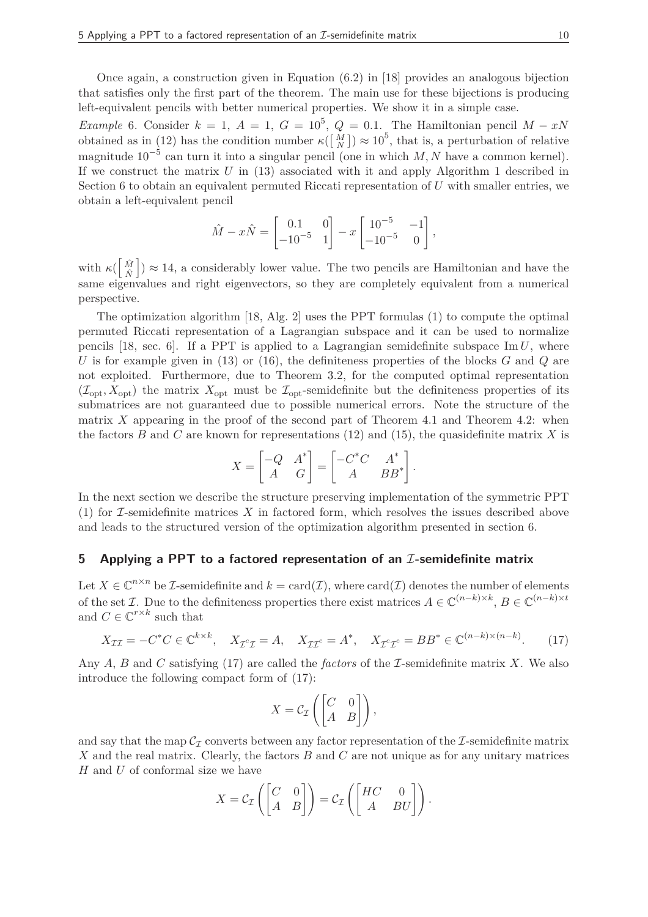Once again, a construction given in Equation (6.2) in [18] provides an analogous bijection that satisfies only the first part of the theorem. The main use for these bijections is producing left-equivalent pencils with better numerical properties. We show it in a simple case.

*Example* 6*.* Consider  $k = 1$ ,  $A = 1$ ,  $G = 10^5$ ,  $Q = 0.1$ . The Hamiltonian pencil  $M - xN$ obtained as in (12) has the condition number  $\kappa([\frac{M}{N}]) \approx 10^5$ , that is, a perturbation of relative magnitude 10−<sup>5</sup> can turn it into a singular pencil (one in which *M, N* have a common kernel). If we construct the matrix *U* in (13) associated with it and apply Algorithm 1 described in Section 6 to obtain an equivalent permuted Riccati representation of *U* with smaller entries, we obtain a left-equivalent pencil

$$
\hat{M} - x\hat{N} = \begin{bmatrix} 0.1 & 0 \\ -10^{-5} & 1 \end{bmatrix} - x \begin{bmatrix} 10^{-5} & -1 \\ -10^{-5} & 0 \end{bmatrix},
$$

with  $\kappa(\begin{bmatrix} \hat{M} \\ \hat{M} \end{bmatrix})$ *N*ˆ  $\big]$ )  $\approx$  14, a considerably lower value. The two pencils are Hamiltonian and have the same eigenvalues and right eigenvectors, so they are completely equivalent from a numerical perspective.

The optimization algorithm [18, Alg. 2] uses the PPT formulas (1) to compute the optimal permuted Riccati representation of a Lagrangian subspace and it can be used to normalize pencils  $[18, \text{ sec. } 6]$ . If a PPT is applied to a Lagrangian semidefinite subspace Im  $U$ , where *U* is for example given in (13) or (16), the definiteness properties of the blocks *G* and *Q* are not exploited. Furthermore, due to Theorem 3.2, for the computed optimal representation  $(\mathcal{I}_{\text{opt}}, X_{\text{opt}})$  the matrix  $X_{\text{opt}}$  must be  $\mathcal{I}_{\text{opt}}$ -semidefinite but the definiteness properties of its submatrices are not guaranteed due to possible numerical errors. Note the structure of the matrix *X* appearing in the proof of the second part of Theorem 4.1 and Theorem 4.2: when the factors *B* and *C* are known for representations (12) and (15), the quasidefinite matrix *X* is

$$
X = \begin{bmatrix} -Q & A^* \\ A & G \end{bmatrix} = \begin{bmatrix} -C^*C & A^* \\ A & BB^* \end{bmatrix}.
$$

In the next section we describe the structure preserving implementation of the symmetric PPT (1) for I-semidefinite matrices *X* in factored form, which resolves the issues described above and leads to the structured version of the optimization algorithm presented in section 6.

# **5** Applying a PPT to a factored representation of an *I*-semidefinite matrix

Let  $X \in \mathbb{C}^{n \times n}$  be *I*-semidefinite and  $k = \text{card}(\mathcal{I})$ , where  $\text{card}(\mathcal{I})$  denotes the number of elements of the set  $\mathcal{I}$ . Due to the definiteness properties there exist matrices  $A \in \mathbb{C}^{(n-k)\times k}$ ,  $B \in \mathbb{C}^{(n-k)\times t}$ and  $C \in \mathbb{C}^{r \times k}$  such that

$$
X_{\mathcal{II}} = -C^*C \in \mathbb{C}^{k \times k}, \quad X_{\mathcal{I}^c \mathcal{I}} = A, \quad X_{\mathcal{II}^c} = A^*, \quad X_{\mathcal{I}^c \mathcal{I}^c} = BB^* \in \mathbb{C}^{(n-k)\times (n-k)}.\tag{17}
$$

Any *A*, *B* and *C* satisfying (17) are called the *factors* of the I-semidefinite matrix *X*. We also introduce the following compact form of (17):

$$
X = \mathcal{C}_{\mathcal{I}} \left( \begin{bmatrix} C & 0 \\ A & B \end{bmatrix} \right),
$$

and say that the map  $\mathcal{C}_{\mathcal{I}}$  converts between any factor representation of the *I*-semidefinite matrix *X* and the real matrix. Clearly, the factors *B* and *C* are not unique as for any unitary matrices *H* and *U* of conformal size we have

$$
X = \mathcal{C}_{\mathcal{I}} \left( \begin{bmatrix} C & 0 \\ A & B \end{bmatrix} \right) = \mathcal{C}_{\mathcal{I}} \left( \begin{bmatrix} HC & 0 \\ A & BU \end{bmatrix} \right).
$$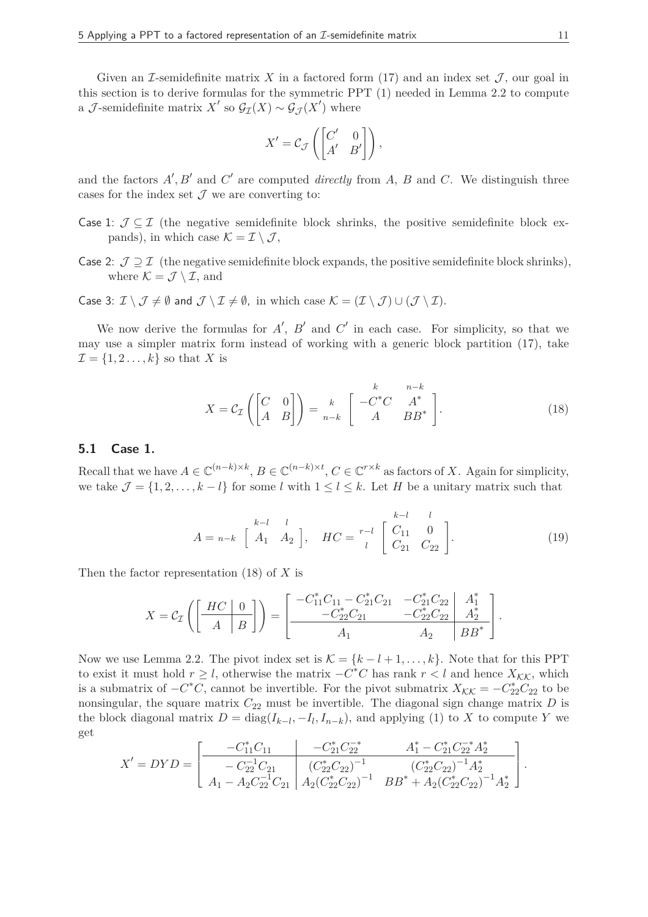Given an I-semidefinite matrix X in a factored form  $(17)$  and an index set J, our goal in this section is to derive formulas for the symmetric PPT (1) needed in Lemma 2.2 to compute a *J*-semidefinite matrix  $X'$  so  $\mathcal{G}_{\mathcal{I}}(X) \sim \mathcal{G}_{\mathcal{J}}(X')$  where

$$
X' = C_{\mathcal{J}} \left( \begin{bmatrix} C' & 0 \\ A' & B' \end{bmatrix} \right),
$$

and the factors  $A', B'$  and  $C'$  are computed *directly* from  $A, B$  and  $C$ . We distinguish three cases for the index set  $\mathcal J$  we are converting to:

- Case 1:  $\mathcal{J} \subseteq \mathcal{I}$  (the negative semidefinite block shrinks, the positive semidefinite block expands), in which case  $\mathcal{K} = \mathcal{I} \setminus \mathcal{J}$ ,
- Case 2:  $\mathcal{J} \supset \mathcal{I}$  (the negative semidefinite block expands, the positive semidefinite block shrinks), where  $\mathcal{K} = \mathcal{J} \setminus \mathcal{I}$ , and

Case 3:  $\mathcal{I} \setminus \mathcal{J} \neq \emptyset$  and  $\mathcal{J} \setminus \mathcal{I} \neq \emptyset$ , in which case  $\mathcal{K} = (\mathcal{I} \setminus \mathcal{J}) \cup (\mathcal{J} \setminus \mathcal{I})$ .

We now derive the formulas for  $A'$ ,  $B'$  and  $C'$  in each case. For simplicity, so that we may use a simpler matrix form instead of working with a generic block partition (17), take  $\mathcal{I} = \{1, 2, \ldots, k\}$  so that *X* is

$$
X = \mathcal{C}_{\mathcal{I}} \left( \begin{bmatrix} C & 0 \\ A & B \end{bmatrix} \right) = \frac{k}{n-k} \begin{bmatrix} k & n-k \\ -C^*C & A^* \\ A & BB^* \end{bmatrix}.
$$
 (18)

#### **5.1 Case 1.**

Recall that we have  $A \in \mathbb{C}^{(n-k)\times k}$ ,  $B \in \mathbb{C}^{(n-k)\times t}$ ,  $C \in \mathbb{C}^{r\times k}$  as factors of *X*. Again for simplicity, we take  $\mathcal{J} = \{1, 2, \ldots, k - l\}$  for some *l* with  $1 \leq l \leq k$ . Let *H* be a unitary matrix such that

$$
A = n-k \begin{bmatrix} k-l & l \\ A_1 & A_2 \end{bmatrix}, \quad HC = \begin{bmatrix} k-l & l \\ C_{11} & 0 \\ C_{21} & C_{22} \end{bmatrix}.
$$
 (19)

Then the factor representation (18) of *X* is

$$
X = C_{\mathcal{I}} \left( \begin{bmatrix} H C & 0 \\ A & B \end{bmatrix} \right) = \begin{bmatrix} -C_{11}^* C_{11} - C_{21}^* C_{21} & -C_{21}^* C_{22} & A_1^* \\ -C_{22}^* C_{21} & -C_{22}^* C_{22} & A_2^* \\ A_1 & A_2 & BB^* \end{bmatrix}.
$$

Now we use Lemma 2.2. The pivot index set is  $\mathcal{K} = \{k - l + 1, \ldots, k\}$ . Note that for this PPT to exist it must hold  $r \geq l$ , otherwise the matrix  $-C^*C$  has rank  $r < l$  and hence  $X_{\mathcal{KK}}$ , which is a submatrix of  $-C^*C$ , cannot be invertible. For the pivot submatrix  $X_{\mathcal{K}\mathcal{K}} = -C^*_{22}C_{22}$  to be nonsingular, the square matrix  $C_{22}$  must be invertible. The diagonal sign change matrix  $D$  is the block diagonal matrix  $D = \text{diag}(I_{k-l}, -I_l, I_{n-k})$ , and applying (1) to *X* to compute *Y* we get

$$
X'=DYD=\begin{bmatrix}-C_{11}^{*}C_{11} & -C_{21}^{*}C_{22}^{-*} & A_{1}^{*}-C_{21}^{*}C_{22}^{-*}A_{2}^{*}\\ -C_{22}^{-1}C_{21} & (C_{22}^{*}C_{22})^{-1} & (C_{22}^{*}C_{22})^{-1}A_{2}^{*}\\ A_{1}-A_{2}C_{22}^{-1}C_{21} & A_{2}(C_{22}^{*}C_{22})^{-1} & BB^{*}+A_{2}(C_{22}^{*}C_{22})^{-1}A_{2}^{*}\end{bmatrix}.
$$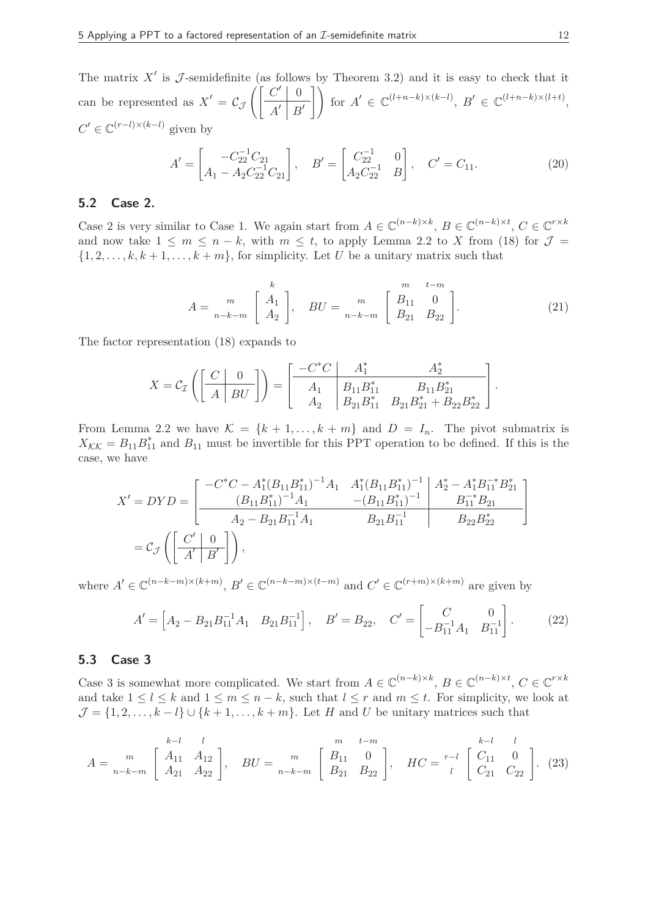The matrix  $X'$  is  $\mathcal J$ -semidefinite (as follows by Theorem 3.2) and it is easy to check that it can be represented as  $X' = C_J$  $\int [C' | 0$ *A* ′ *B* ′  $\bigcap$ for  $A' \in \mathbb{C}^{(l+n-k)\times (k-l)}$ ,  $B' \in \mathbb{C}^{(l+n-k)\times (l+t)}$ ,  $C' \in \mathbb{C}^{(r-l)\times (k-l)}$  given by

$$
A' = \begin{bmatrix} -C_{22}^{-1}C_{21} \\ A_1 - A_2C_{22}^{-1}C_{21} \end{bmatrix}, \quad B' = \begin{bmatrix} C_{22}^{-1} & 0 \\ A_2C_{22}^{-1} & B \end{bmatrix}, \quad C' = C_{11}.
$$
 (20)

# **5.2 Case 2.**

Case 2 is very similar to Case 1. We again start from  $A \in \mathbb{C}^{(n-k)\times k}$ ,  $B \in \mathbb{C}^{(n-k)\times t}$ ,  $C \in \mathbb{C}^{r\times k}$ and now take  $1 \leq m \leq n-k$ , with  $m \leq t$ , to apply Lemma 2.2 to X from (18) for  $\mathcal{J} =$  $\{1, 2, \ldots, k, k+1, \ldots, k+m\}$ , for simplicity. Let *U* be a unitary matrix such that

$$
A = \begin{bmatrix} m \\ m \\ n-k-m \end{bmatrix} \begin{bmatrix} k \\ A_1 \\ A_2 \end{bmatrix}, \quad BU = \begin{bmatrix} m \\ m \\ n-k-m \end{bmatrix} \begin{bmatrix} m & t-m \\ B_{11} & 0 \\ B_{21} & B_{22} \end{bmatrix} . \tag{21}
$$

The factor representation (18) expands to

$$
X = C_{\mathcal{I}}\left(\left[\begin{array}{c|c} C & 0 \ \hline A & BU \end{array}\right]\right) = \left[\begin{array}{c|c} -C^*C & A_1^* & A_2^* \ \hline A_1 & B_{11}B_{11}^* & B_{11}B_{21}^* \ A_2 & B_{21}B_{11}^* & B_{21}B_{21}^* + B_{22}B_{22}^* \end{array}\right].
$$

From Lemma 2.2 we have  $\mathcal{K} = \{k+1,\ldots,k+m\}$  and  $D = I_n$ . The pivot submatrix is  $X_{\mathcal{K}\mathcal{K}} = B_{11}B_{11}^*$  and  $B_{11}$  must be invertible for this PPT operation to be defined. If this is the case, we have

$$
X' = DYD = \begin{bmatrix} -C^*C - A_1^*(B_{11}B_{11}^*)^{-1}A_1 & A_1^*(B_{11}B_{11}^*)^{-1} & A_2^* - A_1^*B_{11}^{-*}B_{21}^* \\ (B_{11}B_{11}^*)^{-1}A_1 & -(B_{11}B_{11}^*)^{-1} & B_{11}^{-*}B_{21} \\ A_2 - B_{21}B_{11}^{-1}A_1 & B_{21}B_{11}^{-1} & B_{22}B_{22}^* \end{bmatrix}
$$
  
=  $\mathcal{C}_{\mathcal{J}} \left( \begin{bmatrix} C' & 0 \\ A' & B' \end{bmatrix} \right),$ 

where  $A' \in \mathbb{C}^{(n-k-m)\times(k+m)}$ ,  $B' \in \mathbb{C}^{(n-k-m)\times(k-m)}$  and  $C' \in \mathbb{C}^{(r+m)\times(k+m)}$  are given by

$$
A' = \begin{bmatrix} A_2 - B_{21}B_{11}^{-1}A_1 & B_{21}B_{11}^{-1} \end{bmatrix}, \quad B' = B_{22}, \quad C' = \begin{bmatrix} C & 0 \\ -B_{11}^{-1}A_1 & B_{11}^{-1} \end{bmatrix}.
$$
 (22)

#### **5.3 Case 3**

Case 3 is somewhat more complicated. We start from  $A \in \mathbb{C}^{(n-k)\times k}$ ,  $B \in \mathbb{C}^{(n-k)\times t}$ ,  $C \in \mathbb{C}^{r\times k}$ and take  $1 \leq l \leq k$  and  $1 \leq m \leq n-k$ , such that  $l \leq r$  and  $m \leq t$ . For simplicity, we look at  $\mathcal{J} = \{1, 2, \ldots, k - l\} \cup \{k + 1, \ldots, k + m\}.$  Let *H* and *U* be unitary matrices such that

$$
A = \begin{bmatrix} & k-l & l \\ & M_{11} & A_{12} \\ & A_{21} & A_{22} \end{bmatrix}, \quad BU = \begin{bmatrix} & m & t-m \\ & m & 0 \\ & m-k-m & B_{21} & B_{22} \end{bmatrix}, \quad HC = \begin{bmatrix} & k-l & l \\ & C_{11} & 0 \\ & C_{21} & C_{22} \end{bmatrix}.
$$
 (23)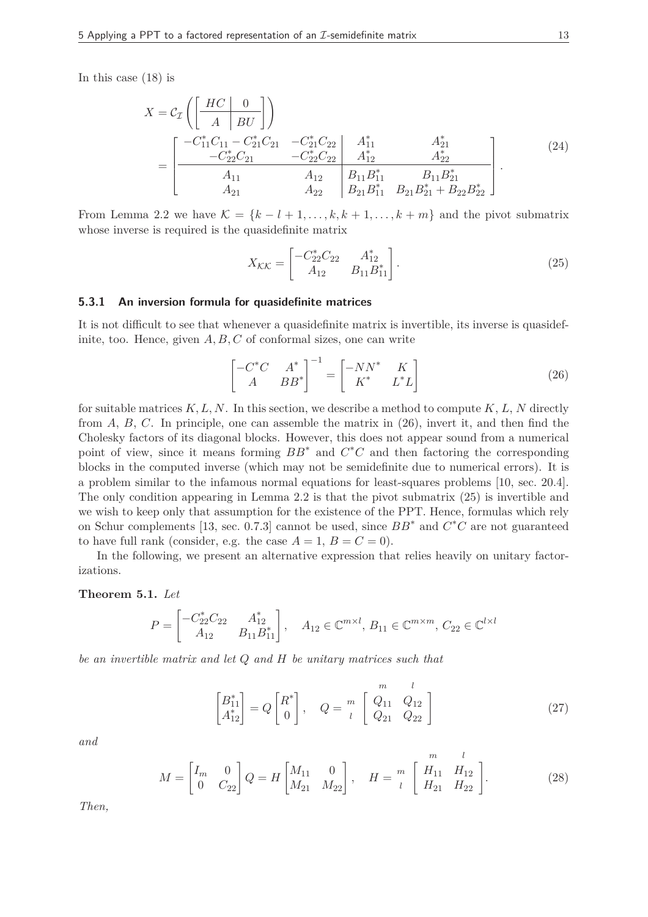In this case (18) is

$$
X = C_{\mathcal{I}} \left( \begin{bmatrix} HC & 0 \\ A & BU \end{bmatrix} \right)
$$
  
= 
$$
\begin{bmatrix} -C_{11}^* C_{11} - C_{21}^* C_{21} & -C_{21}^* C_{22} & A_{11}^* & A_{21}^* \\ -C_{22}^* C_{21} & -C_{22}^* C_{22} & A_{12}^* & A_{22}^* \\ A_{11} & A_{12} & B_{11} B_{11}^* & B_{11} B_{21}^* \\ A_{21} & A_{22} & B_{21} B_{11}^* & B_{21} B_{21}^* + B_{22} B_{22}^* \end{bmatrix}.
$$
 (24)

From Lemma 2.2 we have  $\mathcal{K} = \{k - l + 1, \ldots, k, k + 1, \ldots, k + m\}$  and the pivot submatrix whose inverse is required is the quasidefinite matrix

$$
X_{\mathcal{K}\mathcal{K}} = \begin{bmatrix} -C_{22}^* C_{22} & A_{12}^* \\ A_{12} & B_{11} B_{11}^* \end{bmatrix} . \tag{25}
$$

#### **5.3.1 An inversion formula for quasidefinite matrices**

It is not difficult to see that whenever a quasidefinite matrix is invertible, its inverse is quasidefinite, too. Hence, given *A, B, C* of conformal sizes, one can write

$$
\begin{bmatrix} -C^*C & A^* \\ A & BB^* \end{bmatrix}^{-1} = \begin{bmatrix} -NN^* & K \\ K^* & L^*L \end{bmatrix}
$$
 (26)

for suitable matrices *K, L, N*. In this section, we describe a method to compute *K*, *L*, *N* directly from *A*, *B*, *C*. In principle, one can assemble the matrix in (26), invert it, and then find the Cholesky factors of its diagonal blocks. However, this does not appear sound from a numerical point of view, since it means forming  $BB^*$  and  $C^*C$  and then factoring the corresponding blocks in the computed inverse (which may not be semidefinite due to numerical errors). It is a problem similar to the infamous normal equations for least-squares problems [10, sec. 20.4]. The only condition appearing in Lemma 2.2 is that the pivot submatrix (25) is invertible and we wish to keep only that assumption for the existence of the PPT. Hence, formulas which rely on Schur complements [13, sec. 0.7.3] cannot be used, since *BB*<sup>∗</sup> and *C* <sup>∗</sup>*C* are not guaranteed to have full rank (consider, e.g. the case  $A = 1, B = C = 0$ ).

In the following, we present an alternative expression that relies heavily on unitary factorizations.

#### **Theorem 5.1.** *Let*

$$
P = \begin{bmatrix} -C_{22}^* C_{22} & A_{12}^* \\ A_{12} & B_{11} B_{11}^* \end{bmatrix}, \quad A_{12} \in \mathbb{C}^{m \times l}, B_{11} \in \mathbb{C}^{m \times m}, C_{22} \in \mathbb{C}^{l \times l}
$$

*be an invertible matrix and let Q and H be unitary matrices such that*

$$
\begin{bmatrix} B_{11}^* \\ A_{12}^* \end{bmatrix} = Q \begin{bmatrix} R^* \\ 0 \end{bmatrix}, \quad Q = \frac{m}{l} \begin{bmatrix} m & l \\ Q_{11} & Q_{12} \\ Q_{21} & Q_{22} \end{bmatrix}
$$
 (27)

*and*

$$
M = \begin{bmatrix} I_m & 0 \\ 0 & C_{22} \end{bmatrix} Q = H \begin{bmatrix} M_{11} & 0 \\ M_{21} & M_{22} \end{bmatrix}, \quad H = \begin{bmatrix} m & l \\ H_{11} & H_{12} \\ H_{21} & H_{22} \end{bmatrix}.
$$
 (28)

*Then,*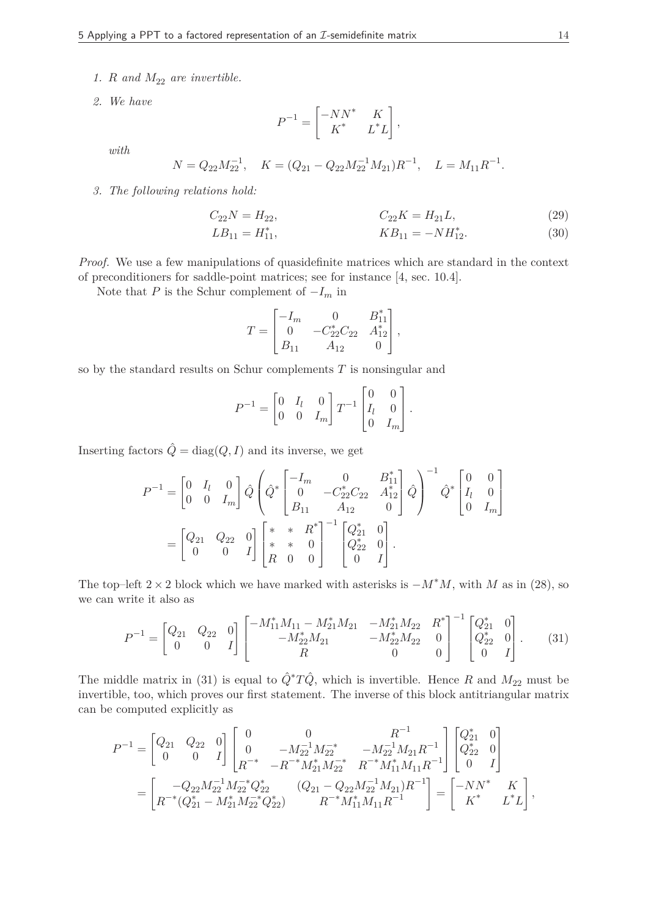- *1. R* and  $M_{22}$  are invertible.
- *2. We have*

$$
P^{-1} = \begin{bmatrix} -NN^* & K \\ K^* & L^*L \end{bmatrix},
$$

*with*

$$
N = Q_{22} M_{22}^{-1}, \quad K = (Q_{21} - Q_{22} M_{22}^{-1} M_{21}) R^{-1}, \quad L = M_{11} R^{-1}.
$$

*3. The following relations hold:*

$$
C_{22}N = H_{22}, \t C_{22}K = H_{21}L, \t (29)
$$

$$
LB_{11} = H_{11}^*, \qquad KB_{11} = -NH_{12}^*.
$$
 (30)

*Proof.* We use a few manipulations of quasidefinite matrices which are standard in the context of preconditioners for saddle-point matrices; see for instance [4, sec. 10.4].

Note that *P* is the Schur complement of  $-I_m$  in

$$
T = \begin{bmatrix} -I_m & 0 & B_{11}^* \\ 0 & -C_{22}^* C_{22} & A_{12}^* \\ B_{11} & A_{12} & 0 \end{bmatrix},
$$

so by the standard results on Schur complements *T* is nonsingular and

$$
P^{-1} = \begin{bmatrix} 0 & I_l & 0 \\ 0 & 0 & I_m \end{bmatrix} T^{-1} \begin{bmatrix} 0 & 0 \\ I_l & 0 \\ 0 & I_m \end{bmatrix}.
$$

Inserting factors  $\hat{Q} = \text{diag}(Q, I)$  and its inverse, we get

$$
P^{-1} = \begin{bmatrix} 0 & I_l & 0 \\ 0 & 0 & I_m \end{bmatrix} \hat{Q} \begin{pmatrix} -I_m & 0 & B_{11}^* \\ 0 & -C_{22}^* C_{22} & A_{12}^* \\ B_{11} & A_{12} & 0 \end{pmatrix}^{-1} \hat{Q}^* \begin{bmatrix} 0 & 0 \\ I_l & 0 \\ 0 & I_m \end{bmatrix}
$$
  
= 
$$
\begin{bmatrix} Q_{21} & Q_{22} & 0 \\ 0 & 0 & I \end{bmatrix} \begin{bmatrix} * & * & R^* \\ * & * & 0 \\ R & 0 & 0 \end{bmatrix}^{-1} \begin{bmatrix} Q_{21}^* & 0 \\ Q_{22}^* & 0 \\ 0 & I \end{bmatrix}.
$$

The top–left  $2 \times 2$  block which we have marked with asterisks is  $-M^*M$ , with *M* as in (28), so we can write it also as

$$
P^{-1} = \begin{bmatrix} Q_{21} & Q_{22} & 0 \ 0 & 0 & I \end{bmatrix} \begin{bmatrix} -M_{11}^* M_{11} - M_{21}^* M_{21} & -M_{21}^* M_{22} & R^* \\ -M_{22}^* M_{21} & -M_{22}^* M_{22} & 0 \\ R & 0 & 0 \end{bmatrix}^{-1} \begin{bmatrix} Q_{21}^* & 0 \\ Q_{22}^* & 0 \\ 0 & I \end{bmatrix}.
$$
 (31)

The middle matrix in (31) is equal to  $\hat{Q}^*T\hat{Q}$ , which is invertible. Hence *R* and  $M_{22}$  must be invertible, too, which proves our first statement. The inverse of this block antitriangular matrix can be computed explicitly as

$$
\begin{split} P^{-1} &= \begin{bmatrix} Q_{21} & Q_{22} & 0 \\ 0 & 0 & I \end{bmatrix} \begin{bmatrix} 0 & 0 & R^{-1} \\ 0 & -M_{22}^{-1} M_{22}^{-*} & -M_{22}^{-1} M_{21} R^{-1} \\ R^{-*} & -R^{-*} M_{21}^{*} M_{22}^{-*} & R^{-*} M_{11}^{*} M_{11} R^{-1} \end{bmatrix} \begin{bmatrix} Q_{21}^{*} & 0 \\ Q_{22}^{*} & 0 \\ 0 & I \end{bmatrix} \\ &= \begin{bmatrix} -Q_{22} M_{22}^{-1} M_{22}^{-*} Q_{22}^{*} & (Q_{21} - Q_{22} M_{22}^{-1} M_{21}) R^{-1} \\ R^{-*} (Q_{21}^{*} - M_{21}^{*} M_{22}^{-*} Q_{22}^{*}) & R^{-*} M_{11}^{*} M_{11} R^{-1} \end{bmatrix} = \begin{bmatrix} -NN^{*} & K \\ K^{*} & L^{*} L \end{bmatrix}, \end{split}
$$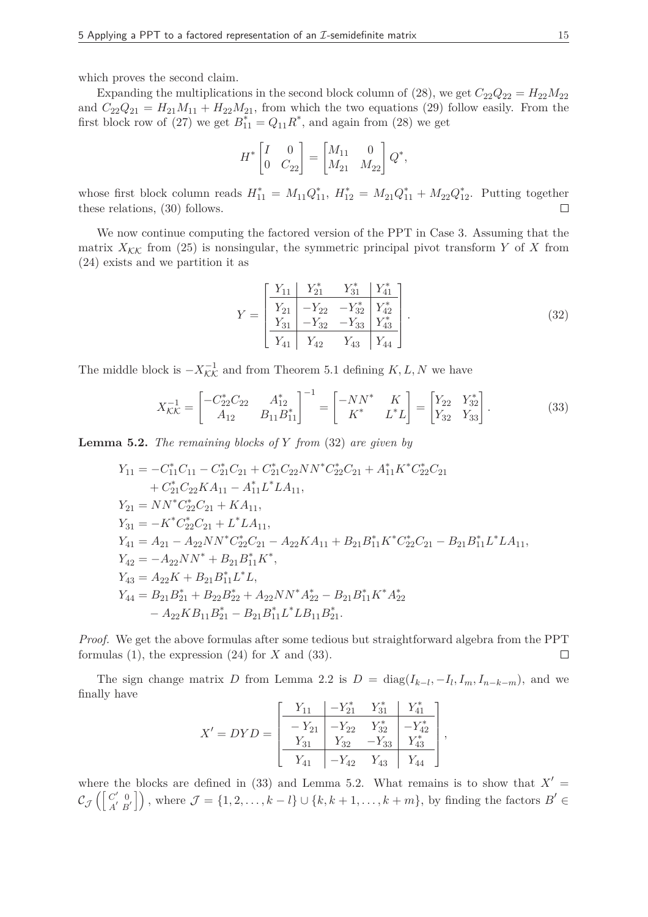which proves the second claim.

Expanding the multiplications in the second block column of (28), we get  $C_{22}Q_{22} = H_{22}M_{22}$ and  $C_{22}Q_{21} = H_{21}M_{11} + H_{22}M_{21}$ , from which the two equations (29) follow easily. From the first block row of (27) we get  $B_{11}^* = Q_{11}R^*$ , and again from (28) we get

$$
H^* \begin{bmatrix} I & 0 \\ 0 & C_{22} \end{bmatrix} = \begin{bmatrix} M_{11} & 0 \\ M_{21} & M_{22} \end{bmatrix} Q^*,
$$

whose first block column reads  $H_{11}^* = M_{11}Q_{11}^*$ ,  $H_{12}^* = M_{21}Q_{11}^* + M_{22}Q_{12}^*$ . Putting together these relations, (30) follows.  $\Box$ 

We now continue computing the factored version of the PPT in Case 3. Assuming that the matrix  $X_{\mathcal{K}\mathcal{K}}$  from (25) is nonsingular, the symmetric principal pivot transform *Y* of *X* from (24) exists and we partition it as

$$
Y = \begin{bmatrix} Y_{11} & Y_{21}^* & Y_{31}^* & Y_{41}^* \\ Y_{21} & -Y_{22} & -Y_{32}^* & Y_{42}^* \\ Y_{31} & -Y_{32} & -Y_{33} & Y_{43}^* \\ Y_{41} & Y_{42} & Y_{43} & Y_{44} \end{bmatrix} .
$$
 (32)

The middle block is  $-X^{-1}_{\mathcal{K}\mathcal{K}}$  and from Theorem 5.1 defining  $K, L, N$  we have

$$
X_{\mathcal{K}\mathcal{K}}^{-1} = \begin{bmatrix} -C_{22}^* C_{22} & A_{12}^* \\ A_{12} & B_{11} B_{11}^* \end{bmatrix}^{-1} = \begin{bmatrix} -NN^* & K \\ K^* & L^* L \end{bmatrix} = \begin{bmatrix} Y_{22} & Y_{32}^* \\ Y_{32} & Y_{33} \end{bmatrix}.
$$
 (33)

**Lemma 5.2.** *The remaining blocks of Y from* (32) *are given by*

$$
Y_{11} = -C_{11}^{*}C_{11} - C_{21}^{*}C_{21} + C_{21}^{*}C_{22}NN^{*}C_{22}^{*}C_{21} + A_{11}^{*}K^{*}C_{22}^{*}C_{21}
$$
  
\t
$$
+ C_{21}^{*}C_{22}KA_{11} - A_{11}^{*}L^{*}LA_{11},
$$
  
\t
$$
Y_{21} = NN^{*}C_{22}^{*}C_{21} + KA_{11},
$$
  
\t
$$
Y_{31} = -K^{*}C_{22}^{*}C_{21} + L^{*}LA_{11},
$$
  
\t
$$
Y_{41} = A_{21} - A_{22}NN^{*}C_{22}^{*}C_{21} - A_{22}KA_{11} + B_{21}B_{11}^{*}K^{*}C_{22}^{*}C_{21} - B_{21}B_{11}^{*}L^{*}LA_{11},
$$
  
\t
$$
Y_{42} = -A_{22}NN^{*} + B_{21}B_{11}^{*}K^{*},
$$
  
\t
$$
Y_{43} = A_{22}K + B_{21}B_{11}^{*}L^{*}L,
$$
  
\t
$$
Y_{44} = B_{21}B_{21}^{*} + B_{22}B_{22}^{*} + A_{22}NN^{*}A_{22}^{*} - B_{21}B_{11}^{*}K^{*}A_{22}^{*} - A_{22}KB_{11}B_{21}^{*} - B_{21}B_{11}^{*}L^{*}LB_{11}B_{21}^{*}.
$$

*Proof.* We get the above formulas after some tedious but straightforward algebra from the PPT formulas  $(1)$ , the expression  $(24)$  for  $X$  and  $(33)$ .  $\Box$ 

The sign change matrix *D* from Lemma 2.2 is  $D = \text{diag}(I_{k-l}, -I_l, I_m, I_{n-k-m})$ , and we finally have

$$
X' = DYD = \begin{bmatrix} \begin{array}{c|c|c} Y_{11} & -Y_{21}^* & Y_{31}^* & Y_{41}^* \\ \hline -Y_{21} & -Y_{22} & Y_{32}^* & -Y_{42}^* \\ \hline Y_{31} & Y_{32} & -Y_{33} & Y_{43}^* \\ \hline Y_{41} & -Y_{42} & Y_{43} & Y_{44} \end{array} \end{bmatrix},
$$

where the blocks are defined in  $(33)$  and Lemma 5.2. What remains is to show that  $X' =$  $\iota_\mathcal{J}$  $\iint C'_\perp 0$  $\begin{bmatrix} C' & 0 \\ A' & B' \end{bmatrix}$ , where  $\mathcal{J} = \{1, 2, \ldots, k - l\} \cup \{k, k + 1, \ldots, k + m\}$ , by finding the factors  $B' \in$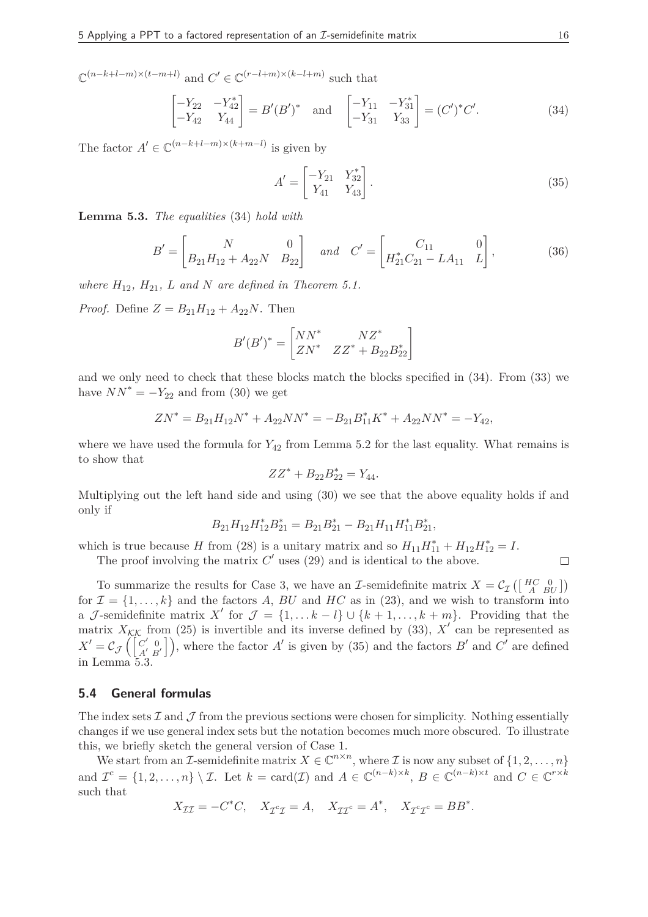$\mathbb{C}^{(n-k+l-m)\times (t-m+l)}$  and  $C' \in \mathbb{C}^{(r-l+m)\times (k-l+m)}$  such that

$$
\begin{bmatrix} -Y_{22} & -Y_{42}^* \\ -Y_{42} & Y_{44} \end{bmatrix} = B'(B')^* \text{ and } \begin{bmatrix} -Y_{11} & -Y_{31}^* \\ -Y_{31} & Y_{33} \end{bmatrix} = (C')^*C'. \tag{34}
$$

The factor  $A' \in \mathbb{C}^{(n-k+l-m)\times(k+m-l)}$  is given by

$$
A' = \begin{bmatrix} -Y_{21} & Y_{32}^* \\ Y_{41} & Y_{43} \end{bmatrix} .
$$
 (35)

**Lemma 5.3.** *The equalities* (34) *hold with*

$$
B' = \begin{bmatrix} N & 0 \\ B_{21}H_{12} + A_{22}N & B_{22} \end{bmatrix} \quad and \quad C' = \begin{bmatrix} C_{11} & 0 \\ H_{21}^*C_{21} - LA_{11} & L \end{bmatrix},
$$
(36)

*where*  $H_{12}$ ,  $H_{21}$ ,  $L$  *and*  $N$  *are defined in Theorem 5.1.* 

*Proof.* Define  $Z = B_{21}H_{12} + A_{22}N$ . Then

$$
B'(B')^* = \begin{bmatrix} NN^* & NZ^* \\ ZN^* & ZZ^* + B_{22}B_{22}^* \end{bmatrix}
$$

and we only need to check that these blocks match the blocks specified in (34). From (33) we have  $NN^* = -Y_{22}$  and from (30) we get

$$
ZN^* = B_{21}H_{12}N^* + A_{22}NN^* = -B_{21}B_{11}^*K^* + A_{22}NN^* = -Y_{42},
$$

where we have used the formula for  $Y_{42}$  from Lemma 5.2 for the last equality. What remains is to show that

$$
ZZ^* + B_{22}B_{22}^* = Y_{44}.
$$

Multiplying out the left hand side and using  $(30)$  we see that the above equality holds if and only if

$$
B_{21}H_{12}H_{12}^*B_{21}^* = B_{21}B_{21}^* - B_{21}H_{11}H_{11}^*B_{21}^*,
$$

which is true because *H* from (28) is a unitary matrix and so  $H_{11}H_{11}^* + H_{12}H_{12}^* = I$ .

The proof involving the matrix  $C'$  uses  $(29)$  and is identical to the above.

To summarize the results for Case 3, we have an *I*-semidefinite matrix  $X = C_{\mathcal{I}}\left(\begin{bmatrix} HC & 0 \\ A & BU \end{bmatrix}\right)$ for  $\mathcal{I} = \{1, \ldots, k\}$  and the factors A, BU and HC as in (23), and we wish to transform into a J-semidefinite matrix  $X'$  for  $\mathcal{J} = \{1, \ldots k - l\} \cup \{k+1, \ldots, k+m\}$ . Providing that the matrix  $X_{\mathcal{K}\mathcal{K}}$  from (25) is invertible and its inverse defined by (33),  $X'$  can be represented as  $X' = \mathcal{C}_{\mathcal{J}} \left( \begin{bmatrix} C' & 0 \\ A' & B \end{bmatrix} \right)$  $\begin{bmatrix} C' & 0 \\ A' & B' \end{bmatrix}$ , where the factor *A*' is given by (35) and the factors *B*' and  $C'$  are defined in Lemma 5.3.

# **5.4 General formulas**

The index sets  $\mathcal I$  and  $\mathcal J$  from the previous sections were chosen for simplicity. Nothing essentially changes if we use general index sets but the notation becomes much more obscured. To illustrate this, we briefly sketch the general version of Case 1.

We start from an *I*-semidefinite matrix  $X \in \mathbb{C}^{n \times n}$ , where *I* is now any subset of  $\{1, 2, \ldots, n\}$ and  $\mathcal{I}^c = \{1, 2, \ldots, n\} \setminus \mathcal{I}$ . Let  $k = \text{card}(\mathcal{I})$  and  $A \in \mathbb{C}^{(n-k)\times k}$ ,  $B \in \mathbb{C}^{(n-k)\times t}$  and  $C \in \mathbb{C}^{r\times k}$ such that

$$
X_{\mathcal{I}\mathcal{I}} = -C^*C, \quad X_{\mathcal{I}^c\mathcal{I}} = A, \quad X_{\mathcal{I}\mathcal{I}^c} = A^*, \quad X_{\mathcal{I}^c\mathcal{I}^c} = BB^*.
$$

 $\Box$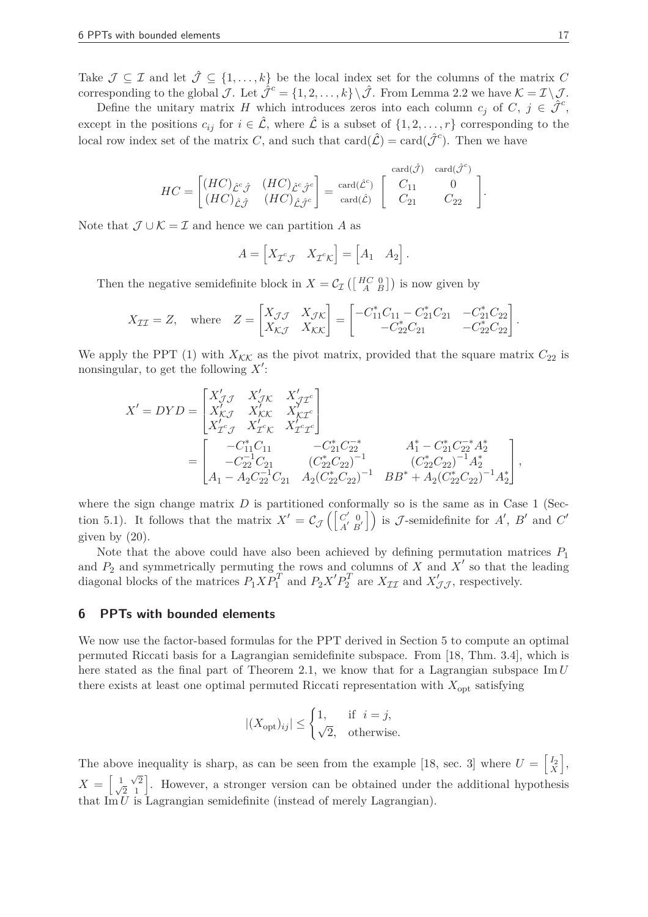Take  $\mathcal{J} \subseteq \mathcal{I}$  and let  $\hat{\mathcal{J}} \subseteq \{1, \ldots, k\}$  be the local index set for the columns of the matrix C corresponding to the global  $\mathcal{J}$ . Let  $\hat{\mathcal{J}}^c = \{1, 2, \ldots, k\} \setminus \hat{\mathcal{J}}$ . From Lemma 2.2 we have  $\mathcal{K} = \mathcal{I} \setminus \mathcal{J}$ .

Define the unitary matrix *H* which introduces zeros into each column  $c_j$  of  $C, j \in \hat{\mathcal{J}}^c$ , except in the positions  $c_{ij}$  for  $i \in \mathcal{L}$ , where  $\mathcal{L}$  is a subset of  $\{1, 2, \ldots, r\}$  corresponding to the local row index set of the matrix *C*, and such that  $card(\hat{\mathcal{L}}) = card(\hat{\mathcal{J}}^c)$ . Then we have

$$
HC = \begin{bmatrix} (HC)_{\hat{\mathcal{L}}^c \hat{\mathcal{J}}} & (HC)_{\hat{\mathcal{L}}^c \hat{\mathcal{J}}^c} \\ (HC)_{\hat{\mathcal{L}} \hat{\mathcal{J}}} & (HC)_{\hat{\mathcal{L}} \hat{\mathcal{J}}^c} \end{bmatrix} = \text{card}(\hat{\mathcal{L}}^c) \begin{bmatrix} \text{card}(\hat{\mathcal{J}}) & \text{card}(\hat{\mathcal{J}}^c) \\ C_{11} & 0 \\ C_{21} & C_{22} \end{bmatrix}.
$$

Note that  $\mathcal{J} \cup \mathcal{K} = \mathcal{I}$  and hence we can partition A as

$$
A = \begin{bmatrix} X_{\mathcal{I}^c \mathcal{J}} & X_{\mathcal{I}^c \mathcal{K}} \end{bmatrix} = \begin{bmatrix} A_1 & A_2 \end{bmatrix}.
$$

Then the negative semidefinite block in  $X = C_{\mathcal{I}}\left(\begin{bmatrix} H_C^C & 0 \\ A & B \end{bmatrix}\right)$  is now given by

$$
X_{\mathcal{I}\mathcal{I}} = Z, \quad \text{where} \quad Z = \begin{bmatrix} X_{\mathcal{I}\mathcal{J}} & X_{\mathcal{J}\mathcal{K}} \\ X_{\mathcal{K}\mathcal{J}} & X_{\mathcal{K}\mathcal{K}} \end{bmatrix} = \begin{bmatrix} -C_{11}^* C_{11} - C_{21}^* C_{21} & -C_{21}^* C_{22} \\ -C_{22}^* C_{21} & -C_{22}^* C_{22} \end{bmatrix}.
$$

We apply the PPT (1) with  $X_{\mathcal{K}\mathcal{K}}$  as the pivot matrix, provided that the square matrix  $C_{22}$  is nonsingular, to get the following X':

$$
X' = DYD = \begin{bmatrix} X'_{\mathcal{J}\mathcal{J}} & X'_{\mathcal{J}\mathcal{K}} & X'_{\mathcal{J}\mathcal{I}^c} \\ X'_{\mathcal{K}\mathcal{J}} & X'_{\mathcal{K}\mathcal{K}} & X'_{\mathcal{K}\mathcal{I}^c} \\ X'_{\mathcal{I}^c\mathcal{J}} & X'_{\mathcal{I}^c\mathcal{K}} & X'_{\mathcal{I}^c\mathcal{I}^c} \end{bmatrix}
$$
  
= 
$$
\begin{bmatrix} -C_{11}^*C_{11} & -C_{21}^*C_{22}^{-*} & A_1^* - C_{21}^*C_{22}^{-*}A_2^* \\ -C_{22}^{-1}C_{21} & (C_{22}^*C_{22})^{-1} & (C_{22}^*C_{22})^{-1}A_2^* \\ A_1 - A_2C_{22}^{-1}C_{21} & A_2(C_{22}^*C_{22})^{-1} & BB^* + A_2(C_{22}^*C_{22})^{-1}A_2^* \end{bmatrix},
$$

where the sign change matrix  $D$  is partitioned conformally so is the same as in Case 1 (Section 5.1). It follows that the matrix  $X' = \mathcal{C}_{\mathcal{J}} \left( \begin{bmatrix} C' & 0 \\ A' & B \end{bmatrix} \right)$  $\begin{bmatrix} C' & 0 \\ A' & B' \end{bmatrix}$  is *J*-semidefinite for *A*<sup>'</sup>, *B*<sup>'</sup> and *C*<sup>'</sup> given by (20).

Note that the above could have also been achieved by defining permutation matrices *P*<sup>1</sup> and  $P_2$  and symmetrically permuting the rows and columns of *X* and  $X'$  so that the leading diagonal blocks of the matrices  $P_1 X P_1^T$  and  $P_2 X' P_2^T$  are  $X_{\mathcal{II}}$  and  $X'_{\mathcal{JI}}$ , respectively.

# **6 PPTs with bounded elements**

We now use the factor-based formulas for the PPT derived in Section 5 to compute an optimal permuted Riccati basis for a Lagrangian semidefinite subspace. From [18, Thm. 3.4], which is here stated as the final part of Theorem 2.1, we know that for a Lagrangian subspace Im *U* there exists at least one optimal permuted Riccati representation with  $X_{opt}$  satisfying

$$
|(X_{\text{opt}})_{ij}| \le \begin{cases} 1, & \text{if } i = j, \\ \sqrt{2}, & \text{otherwise.} \end{cases}
$$

The above inequality is sharp, as can be seen from the example [18, sec. 3] where  $U = \begin{bmatrix} I_2 \\ X \end{bmatrix}$ é ,  $X = \begin{bmatrix} 1 & \sqrt{2} \\ \sqrt{2} & 1 \end{bmatrix}$  $\frac{1}{\sqrt{2}}\begin{bmatrix} \sqrt{2} \\ 1 \end{bmatrix}$ . However, a stronger version can be obtained under the additional hypothesis that  $\text{Im } U$  is Lagrangian semidefinite (instead of merely Lagrangian).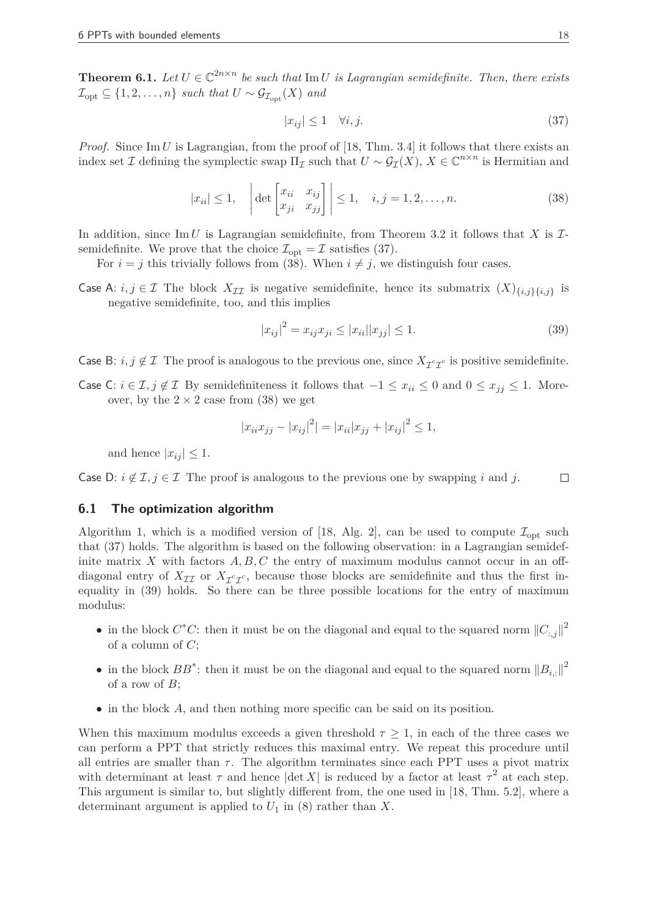**Theorem 6.1.** *Let*  $U \in \mathbb{C}^{2n \times n}$  *be such that* Im *U is Lagrangian semidefinite. Then, there exists*  $\mathcal{I}_{\text{opt}} \subseteq \{1, 2, \ldots, n\}$  such that  $U \sim \mathcal{G}_{\mathcal{I}_{\text{opt}}}(X)$  and

$$
|x_{ij}| \le 1 \quad \forall i, j. \tag{37}
$$

*Proof.* Since Im *U* is Lagrangian, from the proof of [18, Thm. 3.4] it follows that there exists an index set *I* defining the symplectic swap  $\Pi_{\mathcal{I}}$  such that  $U \sim \mathcal{G}_{\mathcal{I}}(X)$ ,  $X \in \mathbb{C}^{n \times n}$  is Hermitian and

$$
|x_{ii}| \le 1, \quad \left| \det \begin{bmatrix} x_{ii} & x_{ij} \\ x_{ji} & x_{jj} \end{bmatrix} \right| \le 1, \quad i, j = 1, 2, \dots, n. \tag{38}
$$

In addition, since Im *U* is Lagrangian semidefinite, from Theorem 3.2 it follows that *X* is  $\mathcal{I}$ semidefinite. We prove that the choice  $\mathcal{I}_{opt} = \mathcal{I}$  satisfies (37).

For  $i = j$  this trivially follows from (38). When  $i \neq j$ , we distinguish four cases.

Case A:  $i, j \in \mathcal{I}$  The block  $X_{\mathcal{II}}$  is negative semidefinite, hence its submatrix  $(X)_{\{i,j\}\{i,j\}}$  is negative semidefinite, too, and this implies

$$
|x_{ij}|^2 = x_{ij}x_{ji} \le |x_{ii}| |x_{jj}| \le 1.
$$
\n(39)

Case B:  $i, j \notin I$  The proof is analogous to the previous one, since  $X_{\mathcal{I}^c\mathcal{I}^c}$  is positive semidefinite.

Case C:  $i \in I$ ,  $j \notin I$  By semidefiniteness it follows that  $-1 \le x_{ii} \le 0$  and  $0 \le x_{jj} \le 1$ . Moreover, by the  $2 \times 2$  case from (38) we get

$$
|x_{ii}x_{jj} - |x_{ij}|^2| = |x_{ii}|x_{jj} + |x_{ij}|^2 \le 1,
$$

and hence  $|x_{ii}| \leq 1$ .

Case D:  $i \notin \mathcal{I}, j \in \mathcal{I}$  The proof is analogous to the previous one by swapping *i* and *j*.  $\Box$ 

#### **6.1 The optimization algorithm**

Algorithm 1, which is a modified version of [18, Alg. 2], can be used to compute  $\mathcal{I}_{\text{ont}}$  such that (37) holds. The algorithm is based on the following observation: in a Lagrangian semidefinite matrix X with factors  $A, B, C$  the entry of maximum modulus cannot occur in an offdiagonal entry of  $X_{\mathcal{I}}$  or  $X_{\mathcal{I}}^c \mathcal{I}^c$ , because those blocks are semidefinite and thus the first in- $\frac{1}{2}$  and  $\frac{1}{2}$  or  $\frac{1}{2}$  or  $\frac{1}{2}$ , security three possible locations for the entry of maximum equality in (39) holds. So there can be three possible locations for the entry of maximum modulus:

- in the block  $C^*C$ : then it must be on the diagonal and equal to the squared norm  $||C_{:,j}||^2$ of a column of *C*;
- in the block  $BB^*$ : then it must be on the diagonal and equal to the squared norm  $||B_{i,:}||^2$ of a row of *B*;
- in the block *A*, and then nothing more specific can be said on its position.

When this maximum modulus exceeds a given threshold  $\tau \geq 1$ , in each of the three cases we can perform a PPT that strictly reduces this maximal entry. We repeat this procedure until all entries are smaller than  $\tau$ . The algorithm terminates since each PPT uses a pivot matrix with determinant at least  $\tau$  and hence  $|\text{det } X|$  is reduced by a factor at least  $\tau^2$  at each step. This argument is similar to, but slightly different from, the one used in [18, Thm. 5.2], where a determinant argument is applied to  $U_1$  in (8) rather than  $X$ .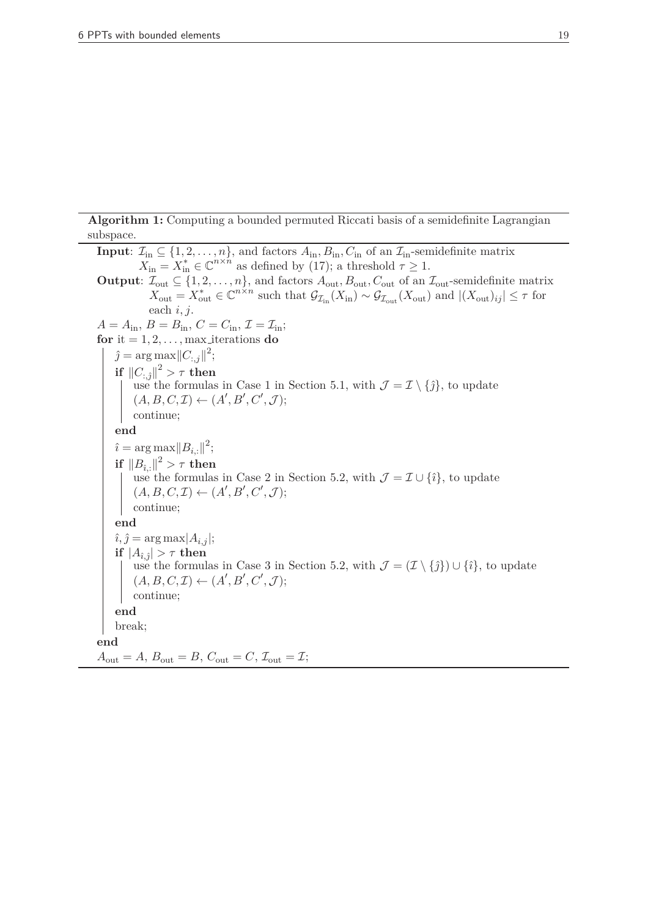**Algorithm 1:** Computing a bounded permuted Riccati basis of a semidefinite Lagrangian subspace.

**Input**:  $\mathcal{I}_{in} \subseteq \{1, 2, \ldots, n\}$ , and factors  $A_{in}$ ,  $B_{in}$ ,  $C_{in}$  of an  $\mathcal{I}_{in}$ -semidefinite matrix  $X_{\text{in}} = X_{\text{in}}^* \in \mathbb{C}^{n \times n}$  as defined by (17); a threshold  $\tau \geq 1$ . **Output**:  $\mathcal{I}_{out} \subseteq \{1, 2, \ldots, n\}$ , and factors  $A_{out}$ ,  $B_{out}$ ,  $C_{out}$  of an  $\mathcal{I}_{out}$ -semidefinite matrix  $X_{\text{out}} = X_{\text{out}}^* \in \mathbb{C}^{n \times n}$  such that  $\mathcal{G}_{\mathcal{I}_{\text{in}}}(X_{\text{in}}) \sim \mathcal{G}_{\mathcal{I}_{\text{out}}}(X_{\text{out}})$  and  $|(X_{\text{out}})_{ij}| \leq \tau$  for each *i, j*.  $A = A_{\text{in}}$ ,  $B = B_{\text{in}}$ ,  $C = C_{\text{in}}$ ,  $\mathcal{I} = \mathcal{I}_{\text{in}}$ ; **for** it =  $1, 2, \ldots$ , max iterations **do**  $\hat{j} = \arg \max_{j} ||C_{:,j}||^2;$  $\inf \left\| C_{:, \hat{j}} \right\|^2 > \tau \ \textbf{then}$ use the formulas in Case 1 in Section 5.1, with  $\mathcal{J} = \mathcal{I} \setminus {\hat{\jmath}}$ , to update  $(A, B, C, \mathcal{I}) \leftarrow (A', B', C', \mathcal{J});$ continue; **end**  $\hat{i} = \arg \max_{i} ||B_{i,:}||^2;$  $\inf \left\| B_{\hat{\imath},:} \right\|^2 > \tau \ \textbf{then}$ use the formulas in Case 2 in Section 5.2, with  $\mathcal{J} = \mathcal{I} \cup \{\hat{\imath}\}\)$ , to update  $(A, B, C, \mathcal{I}) \leftarrow (A', B', C', \mathcal{J});$ continue; **end**  $\hat{i}, \hat{j} = \arg \max |A_{i,j}|;$  $|\hat{H}_{\hat{i},\hat{j}}| > \tau$  then use the formulas in Case 3 in Section 5.2, with  $\mathcal{J} = (\mathcal{I} \setminus \{\hat{j}\}) \cup \{\hat{i}\}\)$ , to update  $(A, B, C, \mathcal{I}) \leftarrow (A', B', C', \mathcal{J});$ continue; **end** break; **end**  $A_{\text{out}} = A$ ,  $B_{\text{out}} = B$ ,  $C_{\text{out}} = C$ ,  $\mathcal{I}_{\text{out}} = \mathcal{I}$ ;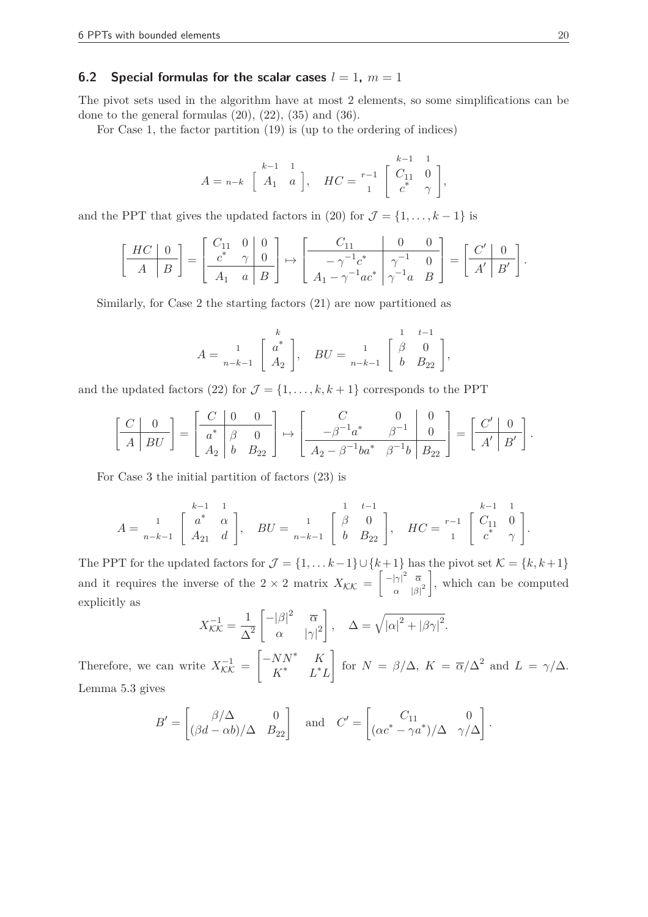# **6.2 Special formulas for the scalar cases**  $l = 1$ ,  $m = 1$

The pivot sets used in the algorithm have at most 2 elements, so some simplifications can be done to the general formulas  $(20)$ ,  $(22)$ ,  $(35)$  and  $(36)$ .

For Case 1, the factor partition (19) is (up to the ordering of indices)

$$
A = n-k \begin{bmatrix} k-1 & 1 \\ A_1 & a \end{bmatrix}, \quad HC = \begin{bmatrix} k-1 & 1 \\ 0 & 1 \\ 0 & 1 \end{bmatrix},
$$

and the PPT that gives the updated factors in (20) for  $\mathcal{J} = \{1, \ldots, k-1\}$  is

$$
\left[\begin{array}{c|c} HC & 0 \ \hline A & B \end{array}\right] = \left[\begin{array}{cc|c} C_{11} & 0 & 0 \ \hline c^* & \gamma & 0 \ \hline A_1 & a & B \end{array}\right] \mapsto \left[\begin{array}{c|c} C_{11} & 0 & 0 \ \hline -\gamma^{-1}c^* & \gamma^{-1} & 0 \ \hline A_1 - \gamma^{-1}ac^* & \gamma^{-1}a & B \end{array}\right] = \left[\begin{array}{c|c} C' & 0 \ \hline A' & B' \end{array}\right].
$$

Similarly, for Case 2 the starting factors (21) are now partitioned as

*A* = C *k* 1 *a* ∗ *<sup>n</sup>*−*k*−<sup>1</sup> *A*<sup>2</sup> D *, BU* = C 1 *t*−1 1 *β* 0 *<sup>n</sup>*−*k*−<sup>1</sup> *b B*<sup>22</sup> <sup>D</sup> *,*

and the updated factors (22) for  $\mathcal{J} = \{1, \ldots, k, k+1\}$  corresponds to the PPT

$$
\left[\begin{array}{c|c} C & 0 \\ \hline A & BU \end{array}\right] = \left[\begin{array}{cc|c} C & 0 & 0 \\ \hline a^* & \beta & 0 \\ A_2 & b & B_{22} \end{array}\right] \mapsto \left[\begin{array}{cc|c} C & 0 & 0 \\ \hline -\beta^{-1}a^* & \beta^{-1} & 0 \\ \hline A_2 - \beta^{-1}ba^* & \beta^{-1}b & B_{22} \end{array}\right] = \left[\begin{array}{c|c} C' & 0 \\ \hline A' & B' \end{array}\right].
$$

For Case 3 the initial partition of factors (23) is

$$
A = \begin{bmatrix} & & k-1 & 1 \\ & 1 & 1 & 1 \\ & 1 & 1 & 1 \\ & 1 & 1 & 1 \end{bmatrix}, \quad BU = \begin{bmatrix} & 1 & 1 & k-1 \\ 1 & 1 & 1 & 1 \\ & 1 & 1 & 1 \\ & 1 & 1 & 1 \end{bmatrix}, \quad HC = \begin{bmatrix} & k-1 & 1 & 1 \\ & 1 & 1 & 1 \\ & 1 & 1 & 1 \\ & 1 & 1 & 1 \end{bmatrix}.
$$

The PPT for the updated factors for  $\mathcal{J} = \{1, \ldots k-1\} \cup \{k+1\}$  has the pivot set  $\mathcal{K} = \{k, k+1\}$ and it requires the inverse of the  $2 \times 2$  matrix  $X_{\mathcal{K}\mathcal{K}} =$  $\int -|\gamma|^2 \quad \overline{\alpha}$  $\alpha$  | $\beta$ |<sup>2</sup> 1 , which can be computed explicitly as

$$
X_{\mathcal{K}\mathcal{K}}^{-1} = \frac{1}{\Delta^2} \begin{bmatrix} -|\beta|^2 & \overline{\alpha} \\ \alpha & |\gamma|^2 \end{bmatrix}, \quad \Delta = \sqrt{|\alpha|^2 + |\beta \gamma|^2}.
$$

Therefore, we can write  $X^{-1}_{\mathcal{K}\mathcal{K}} =$  $\begin{bmatrix} -NN^* & K \\ 0 & 0 & K \end{bmatrix}$ *K* <sup>∗</sup> *L* <sup>∗</sup>*L* l. for  $N = \beta/\Delta$ ,  $K = \overline{\alpha}/\Delta^2$  and  $L = \gamma/\Delta$ . Lemma 5.3 gives

$$
B' = \begin{bmatrix} \beta/\Delta & 0 \\ (\beta d - \alpha b)/\Delta & B_{22} \end{bmatrix} \text{ and } C' = \begin{bmatrix} C_{11} & 0 \\ (\alpha c^* - \gamma a^*)/\Delta & \gamma/\Delta \end{bmatrix}.
$$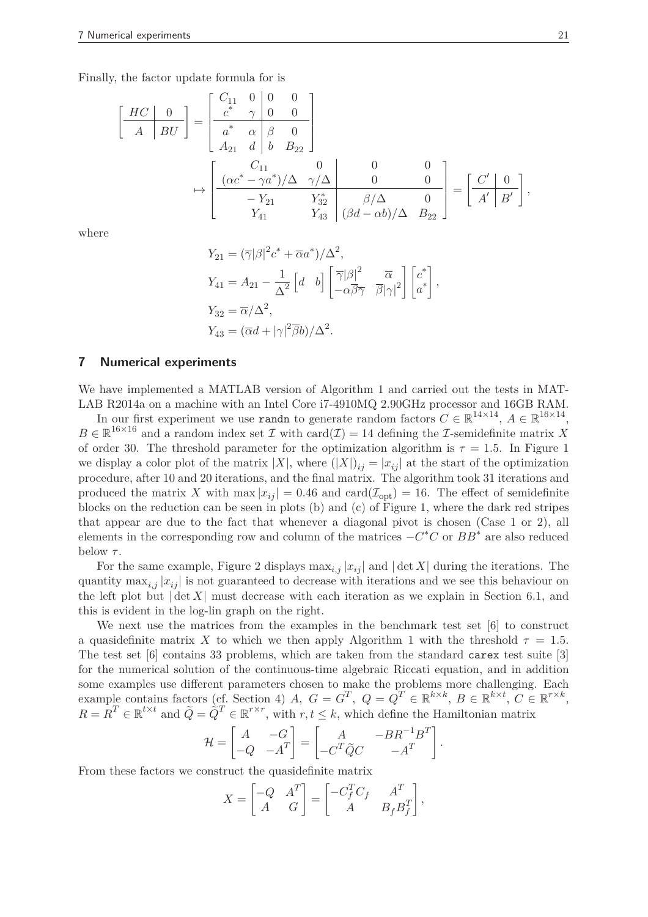Finally, the factor update formula for is

$$
\begin{bmatrix}\n\begin{array}{c}\nHC & 0 \\
A & BU\n\end{array}\n\end{bmatrix} = \begin{bmatrix}\nC_{11} & 0 & 0 & 0 \\
c^* & \gamma & 0 & 0 \\
a^* & \alpha & \beta & 0 \\
A_{21} & d & b & B_{22}\n\end{bmatrix} \\
\rightarrow \begin{bmatrix}\nC_{11} & 0 & 0 & 0 \\
(\alpha c^* - \gamma a^*) / \Delta & \gamma / \Delta & 0 & 0 \\
-I_{21} & Y_{32}^* & \beta / \Delta & 0 \\
Y_{41} & Y_{43} & (\beta d - \alpha b) / \Delta & B_{22}\n\end{bmatrix} = \begin{bmatrix}\nC' & 0 \\
A' & B'\n\end{bmatrix},
$$

where

$$
Y_{21} = (\overline{\gamma}|\beta|^2 c^* + \overline{\alpha}a^*)/\Delta^2,
$$
  
\n
$$
Y_{41} = A_{21} - \frac{1}{\Delta^2} \begin{bmatrix} d & b \end{bmatrix} \begin{bmatrix} \overline{\gamma}|\beta|^2 & \overline{\alpha} \\ -\alpha\overline{\beta}\overline{\gamma} & \overline{\beta}|\gamma|^2 \end{bmatrix} \begin{bmatrix} c^* \\ a^* \end{bmatrix},
$$
  
\n
$$
Y_{32} = \overline{\alpha}/\Delta^2,
$$
  
\n
$$
Y_{43} = (\overline{\alpha}d + |\gamma|^2 \overline{\beta}b)/\Delta^2.
$$

#### **7 Numerical experiments**

We have implemented a MATLAB version of Algorithm 1 and carried out the tests in MAT-LAB R2014a on a machine with an Intel Core i7-4910MQ 2.90GHz processor and 16GB RAM.

In our first experiment we use **randn** to generate random factors  $C \in \mathbb{R}^{14 \times 14}$ ,  $A \in \mathbb{R}^{16 \times 14}$ ,  $B \in \mathbb{R}^{16 \times 16}$  and a random index set  $\mathcal I$  with card $(\mathcal I) = 14$  defining the *I*-semidefinite matrix *X* of order 30. The threshold parameter for the optimization algorithm is  $\tau = 1.5$ . In Figure 1 we display a color plot of the matrix  $|X|$ , where  $(|X|)_{ij} = |x_{ij}|$  at the start of the optimization procedure, after 10 and 20 iterations, and the final matrix. The algorithm took 31 iterations and produced the matrix X with max  $|x_{ij}| = 0.46$  and card $(\mathcal{I}_{\text{opt}}) = 16$ . The effect of semidefinite blocks on the reduction can be seen in plots (b) and (c) of Figure 1, where the dark red stripes that appear are due to the fact that whenever a diagonal pivot is chosen (Case 1 or 2), all elements in the corresponding row and column of the matrices −*C* <sup>∗</sup>*C* or *BB*<sup>∗</sup> are also reduced below *τ* .

For the same example, Figure 2 displays  $\max_{i,j} |x_{ij}|$  and  $|\det X|$  during the iterations. The quantity  $\max_{i,j} |x_{ij}|$  is not guaranteed to decrease with iterations and we see this behaviour on the left plot but  $|\det X|$  must decrease with each iteration as we explain in Section 6.1, and this is evident in the log-lin graph on the right.

We next use the matrices from the examples in the benchmark test set [6] to construct a quasidefinite matrix *X* to which we then apply Algorithm 1 with the threshold  $\tau = 1.5$ . The test set [6] contains 33 problems, which are taken from the standard carex test suite [3] for the numerical solution of the continuous-time algebraic Riccati equation, and in addition some examples use different parameters chosen to make the problems more challenging. Each example contains factors (cf. Section 4) *A*,  $G = G^T$ ,  $Q = Q^T \in \mathbb{R}^{k \times k}$ ,  $B \in \mathbb{R}^{k \times t}$ ,  $C \in \mathbb{R}^{r \times k}$ ,  $R = R^T \in \mathbb{R}^{t \times t}$  and  $\tilde{Q} = \tilde{Q}^T \in \mathbb{R}^{r \times r}$ , with  $r, t \leq k$ , which define the Hamiltonian matrix

$$
\mathcal{H} = \begin{bmatrix} A & -G \\ -Q & -A^T \end{bmatrix} = \begin{bmatrix} A & -BR^{-1}B^T \\ -C^T \tilde{Q} C & -A^T \end{bmatrix}.
$$

From these factors we construct the quasidefinite matrix

$$
X = \begin{bmatrix} -Q & A^T \\ A & G \end{bmatrix} = \begin{bmatrix} -C_f^T C_f & A^T \\ A & B_f B_f^T \end{bmatrix},
$$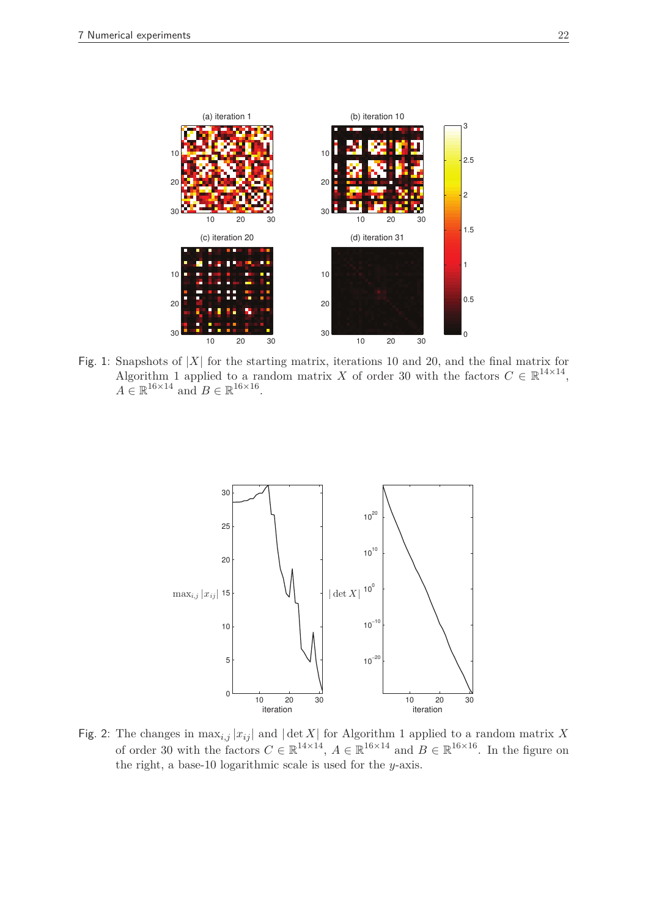

Fig. 1: Snapshots of  $|X|$  for the starting matrix, iterations 10 and 20, and the final matrix for Algorithm 1 applied to a random matrix *X* of order 30 with the factors  $C \in \mathbb{R}^{14 \times 14}$ ,  $A \in \mathbb{R}^{16 \times 14}$  and  $B \in \mathbb{R}^{16 \times 16}$ .



Fig. 2: The changes in  $\max_{i,j} |x_{ij}|$  and  $|\det X|$  for Algorithm 1 applied to a random matrix X of order 30 with the factors  $C \in \mathbb{R}^{14 \times 14}$ ,  $A \in \mathbb{R}^{16 \times 14}$  and  $B \in \mathbb{R}^{16 \times 16}$ . In the figure on the right, a base-10 logarithmic scale is used for the *y*-axis.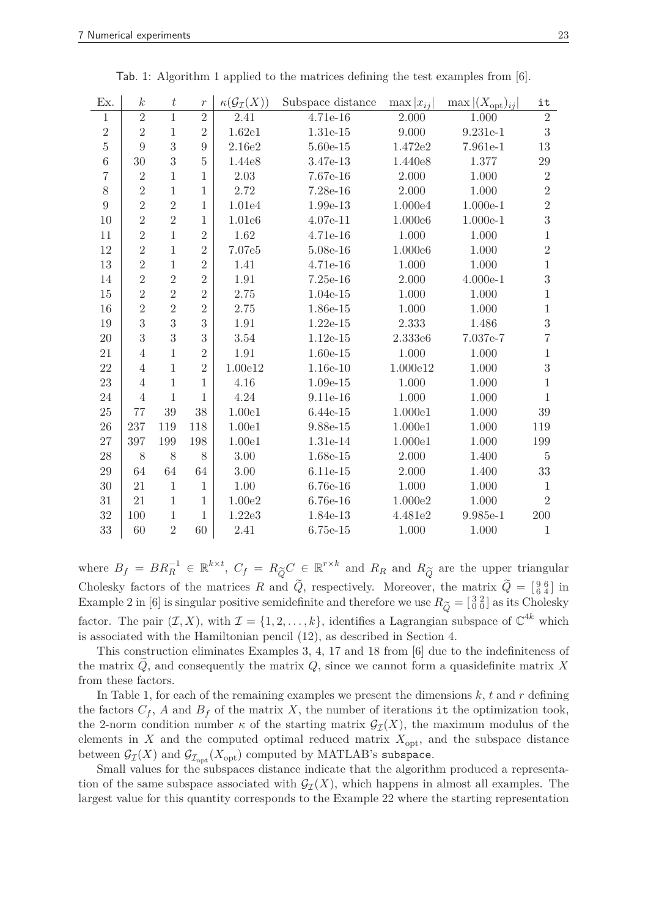| Ex.            | $\boldsymbol{k}$ | $\boldsymbol{t}$ | $\boldsymbol{r}$ | $\kappa(\mathcal{G}_{\mathcal{I}}(X))$ | Subspace distance | $\max  x_{ij} $ | $\max  (X_{\text{opt}})_{ij} $ | it             |
|----------------|------------------|------------------|------------------|----------------------------------------|-------------------|-----------------|--------------------------------|----------------|
| $\mathbf{1}$   | $\overline{2}$   | $\mathbf{1}$     | $\overline{2}$   | 2.41                                   | 4.71e-16          | 2.000           | 1.000                          | $\overline{2}$ |
| $\sqrt{2}$     | $\overline{2}$   | $\mathbf{1}$     | $\overline{2}$   | 1.62e1                                 | 1.31e-15          | 9.000           | 9.231e-1                       | $\sqrt{3}$     |
| $\overline{5}$ | 9                | 3                | 9                | 2.16e2                                 | $5.60e-15$        | 1.472e2         | 7.961e-1                       | 13             |
| $\overline{6}$ | 30               | 3                | $\overline{5}$   | 1.44e8                                 | 3.47e-13          | 1.440e8         | 1.377                          | $\,29$         |
| $\overline{7}$ | $\sqrt{2}$       | $\mathbf{1}$     | $\mathbf{1}$     | 2.03                                   | 7.67e-16          | 2.000           | 1.000                          | $\sqrt{2}$     |
| $8\,$          | $\overline{2}$   | $\mathbf{1}$     | $\mathbf{1}$     | 2.72                                   | 7.28e-16          | 2.000           | 1.000                          | $\overline{2}$ |
| 9              | $\overline{2}$   | $\overline{2}$   | $\mathbf{1}$     | 1.01e4                                 | 1.99e-13          | 1.000e4         | $1.000e-1$                     | $\overline{2}$ |
| 10             | $\overline{2}$   | $\overline{2}$   | $\mathbf{1}$     | 1.01e6                                 | 4.07e-11          | 1.000e6         | $1.000e-1$                     | 3              |
| 11             | $\overline{2}$   | $\mathbf{1}$     | $\overline{2}$   | 1.62                                   | 4.71e-16          | 1.000           | 1.000                          | $\mathbf{1}$   |
| 12             | $\overline{2}$   | $\mathbf{1}$     | $\overline{2}$   | 7.07e5                                 | 5.08e-16          | 1.000e6         | 1.000                          | $\overline{2}$ |
| 13             | $\overline{2}$   | $\mathbf{1}$     | $\overline{2}$   | 1.41                                   | 4.71e-16          | 1.000           | 1.000                          | $\mathbf{1}$   |
| 14             | $\overline{2}$   | $\overline{2}$   | $\overline{2}$   | 1.91                                   | $7.25e-16$        | 2.000           | $4.000e-1$                     | 3              |
| 15             | $\overline{2}$   | $\overline{2}$   | $\overline{2}$   | 2.75                                   | 1.04e-15          | 1.000           | 1.000                          | $\mathbf{1}$   |
| 16             | $\overline{2}$   | $\overline{2}$   | $\overline{2}$   | 2.75                                   | 1.86e-15          | $1.000\,$       | 1.000                          | $\mathbf{1}$   |
| 19             | 3                | 3                | 3                | 1.91                                   | $1.22e-15$        | 2.333           | 1.486                          | 3              |
| 20             | 3                | 3                | 3                | 3.54                                   | $1.12e-15$        | 2.333e6         | 7.037e-7                       | $\overline{7}$ |
| 21             | $\overline{4}$   | $\mathbf{1}$     | $\overline{2}$   | 1.91                                   | $1.60e-15$        | 1.000           | 1.000                          | $\mathbf{1}$   |
| 22             | $\overline{4}$   | $\mathbf{1}$     | $\overline{2}$   | 1.00e12                                | 1.16e-10          | 1.000e12        | 1.000                          | 3              |
| 23             | $\overline{4}$   | $\mathbf{1}$     | $\mathbf{1}$     | 4.16                                   | $1.09e-15$        | 1.000           | 1.000                          | $\mathbf{1}$   |
| 24             | $\overline{4}$   | $\mathbf{1}$     | $\mathbf{1}$     | 4.24                                   | 9.11e-16          | 1.000           | 1.000                          | $\mathbf{1}$   |
| 25             | 77               | 39               | 38               | 1.00e1                                 | $6.44e-15$        | 1.000e1         | 1.000                          | 39             |
| 26             | 237              | 119              | 118              | 1.00e1                                 | 9.88e-15          | 1.000e1         | 1.000                          | 119            |
| 27             | 397              | 199              | 198              | 1.00e1                                 | 1.31e-14          | 1.000e1         | 1.000                          | 199            |
| 28             | 8                | $8\,$            | 8                | 3.00                                   | 1.68e-15          | 2.000           | 1.400                          | $\overline{5}$ |
| 29             | 64               | 64               | 64               | $3.00\,$                               | 6.11e-15          | 2.000           | 1.400                          | 33             |
| 30             | 21               | $\mathbf{1}$     | $\mathbf{1}$     | 1.00                                   | 6.76e-16          | 1.000           | 1.000                          | 1              |
| 31             | 21               | $\mathbf{1}$     | $\mathbf{1}$     | 1.00e2                                 | $6.76e-16$        | 1.000e2         | 1.000                          | $\overline{2}$ |
| 32             | 100              | $\mathbf{1}$     | $\mathbf{1}$     | 1.22e3                                 | 1.84e-13          | 4.481e2         | 9.985e-1                       | 200            |
| 33             | 60               | $\overline{2}$   | 60               | 2.41                                   | $6.75e-15$        | $1.000\,$       | 1.000                          | $\mathbf{1}$   |

Tab. 1: Algorithm 1 applied to the matrices defining the test examples from [6].

where  $B_f = BR_R^{-1} \in \mathbb{R}^{k \times t}$ ,  $C_f = R_{\widetilde{Q}} C \in \mathbb{R}^{r \times k}$  and  $R_R$  and  $R_{\widetilde{Q}}$  are the upper triangular Cholesky factors of the matrices *R* and  $\tilde{Q}$ , respectively. Moreover, the matrix  $\tilde{Q} = \begin{bmatrix} 9 & 6 \\ 6 & 4 \end{bmatrix}$  in Example 2 in [6] is singular positive semidefinite and therefore we use  $R_{\widetilde{Q}} = \begin{bmatrix} 3 & 2 \\ 0 & 0 \end{bmatrix}$  as its Cholesky factor. The pair  $(\mathcal{I}, X)$ , with  $\mathcal{I} = \{1, 2, \ldots, k\}$ , identifies a Lagrangian subspace of  $\mathbb{C}^{4k}$  which is associated with the Hamiltonian pencil (12), as described in Section 4.

This construction eliminates Examples 3, 4, 17 and 18 from [6] due to the indefiniteness of the matrix  $\hat{Q}$ , and consequently the matrix  $Q$ , since we cannot form a quasidefinite matrix  $\hat{X}$ from these factors.

In Table 1, for each of the remaining examples we present the dimensions  $k$ ,  $t$  and  $r$  defining the factors  $C_f$ ,  $A$  and  $B_f$  of the matrix  $X$ , the number of iterations it the optimization took, the 2-norm condition number  $\kappa$  of the starting matrix  $\mathcal{G}_{\tau}(X)$ , the maximum modulus of the elements in *X* and the computed optimal reduced matrix  $X_{\text{opt}}$ , and the subspace distance between  $\mathcal{G}_{\mathcal{I}}(X)$  and  $\mathcal{G}_{\mathcal{I}_{\mathrm{opt}}}(X_{\mathrm{opt}})$  computed by MATLAB's subspace.

Small values for the subspaces distance indicate that the algorithm produced a representation of the same subspace associated with  $\mathcal{G}_{\mathcal{T}}(X)$ , which happens in almost all examples. The largest value for this quantity corresponds to the Example 22 where the starting representation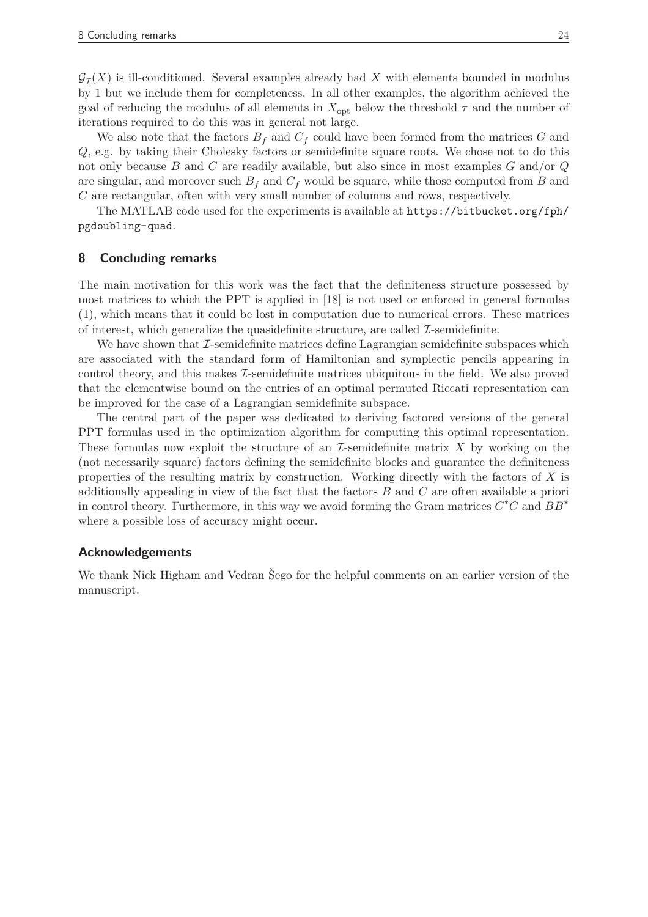$\mathcal{G}_{\mathcal{I}}(X)$  is ill-conditioned. Several examples already had X with elements bounded in modulus by 1 but we include them for completeness. In all other examples, the algorithm achieved the goal of reducing the modulus of all elements in  $X_{\text{opt}}$  below the threshold  $\tau$  and the number of iterations required to do this was in general not large.

We also note that the factors  $B_f$  and  $C_f$  could have been formed from the matrices  $G$  and *Q*, e.g. by taking their Cholesky factors or semidefinite square roots. We chose not to do this not only because *B* and *C* are readily available, but also since in most examples *G* and/or *Q* are singular, and moreover such  $B_f$  and  $C_f$  would be square, while those computed from *B* and *C* are rectangular, often with very small number of columns and rows, respectively.

The MATLAB code used for the experiments is available at https://bitbucket.org/fph/ pgdoubling-quad.

#### **8 Concluding remarks**

The main motivation for this work was the fact that the definiteness structure possessed by most matrices to which the PPT is applied in [18] is not used or enforced in general formulas (1), which means that it could be lost in computation due to numerical errors. These matrices of interest, which generalize the quasidefinite structure, are called  $\mathcal{I}$ -semidefinite.

We have shown that  $\mathcal I$ -semidefinite matrices define Lagrangian semidefinite subspaces which are associated with the standard form of Hamiltonian and symplectic pencils appearing in control theory, and this makes  $\mathcal{I}$ -semidefinite matrices ubiquitous in the field. We also proved that the elementwise bound on the entries of an optimal permuted Riccati representation can be improved for the case of a Lagrangian semidefinite subspace.

The central part of the paper was dedicated to deriving factored versions of the general PPT formulas used in the optimization algorithm for computing this optimal representation. These formulas now exploit the structure of an I-semidefinite matrix *X* by working on the (not necessarily square) factors defining the semidefinite blocks and guarantee the definiteness properties of the resulting matrix by construction. Working directly with the factors of *X* is additionally appealing in view of the fact that the factors *B* and *C* are often available a priori in control theory. Furthermore, in this way we avoid forming the Gram matrices *C* <sup>∗</sup>*C* and *BB*<sup>∗</sup> where a possible loss of accuracy might occur.

#### **Acknowledgements**

We thank Nick Higham and Vedran Sego for the helpful comments on an earlier version of the manuscript.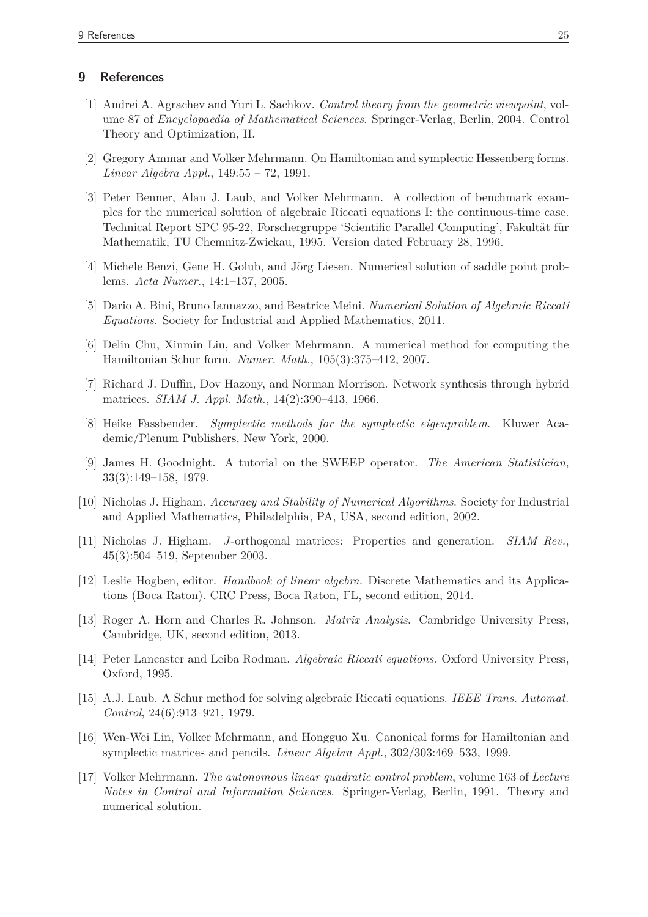# **9 References**

- [1] Andrei A. Agrachev and Yuri L. Sachkov. *Control theory from the geometric viewpoint*, volume 87 of *Encyclopaedia of Mathematical Sciences*. Springer-Verlag, Berlin, 2004. Control Theory and Optimization, II.
- [2] Gregory Ammar and Volker Mehrmann. On Hamiltonian and symplectic Hessenberg forms. *Linear Algebra Appl.*, 149:55 – 72, 1991.
- [3] Peter Benner, Alan J. Laub, and Volker Mehrmann. A collection of benchmark examples for the numerical solution of algebraic Riccati equations I: the continuous-time case. Technical Report SPC 95-22, Forschergruppe 'Scientific Parallel Computing', Fakultät für Mathematik, TU Chemnitz-Zwickau, 1995. Version dated February 28, 1996.
- [4] Michele Benzi, Gene H. Golub, and Jörg Liesen. Numerical solution of saddle point problems. *Acta Numer.*, 14:1–137, 2005.
- [5] Dario A. Bini, Bruno Iannazzo, and Beatrice Meini. *Numerical Solution of Algebraic Riccati Equations*. Society for Industrial and Applied Mathematics, 2011.
- [6] Delin Chu, Xinmin Liu, and Volker Mehrmann. A numerical method for computing the Hamiltonian Schur form. *Numer. Math.*, 105(3):375–412, 2007.
- [7] Richard J. Duffin, Dov Hazony, and Norman Morrison. Network synthesis through hybrid matrices. *SIAM J. Appl. Math.*, 14(2):390–413, 1966.
- [8] Heike Fassbender. *Symplectic methods for the symplectic eigenproblem*. Kluwer Academic/Plenum Publishers, New York, 2000.
- [9] James H. Goodnight. A tutorial on the SWEEP operator. *The American Statistician*, 33(3):149–158, 1979.
- [10] Nicholas J. Higham. *Accuracy and Stability of Numerical Algorithms*. Society for Industrial and Applied Mathematics, Philadelphia, PA, USA, second edition, 2002.
- [11] Nicholas J. Higham. *J*-orthogonal matrices: Properties and generation. *SIAM Rev.*, 45(3):504–519, September 2003.
- [12] Leslie Hogben, editor. *Handbook of linear algebra*. Discrete Mathematics and its Applications (Boca Raton). CRC Press, Boca Raton, FL, second edition, 2014.
- [13] Roger A. Horn and Charles R. Johnson. *Matrix Analysis*. Cambridge University Press, Cambridge, UK, second edition, 2013.
- [14] Peter Lancaster and Leiba Rodman. *Algebraic Riccati equations*. Oxford University Press, Oxford, 1995.
- [15] A.J. Laub. A Schur method for solving algebraic Riccati equations. *IEEE Trans. Automat. Control*, 24(6):913–921, 1979.
- [16] Wen-Wei Lin, Volker Mehrmann, and Hongguo Xu. Canonical forms for Hamiltonian and symplectic matrices and pencils. *Linear Algebra Appl.*, 302/303:469–533, 1999.
- [17] Volker Mehrmann. *The autonomous linear quadratic control problem*, volume 163 of *Lecture Notes in Control and Information Sciences*. Springer-Verlag, Berlin, 1991. Theory and numerical solution.